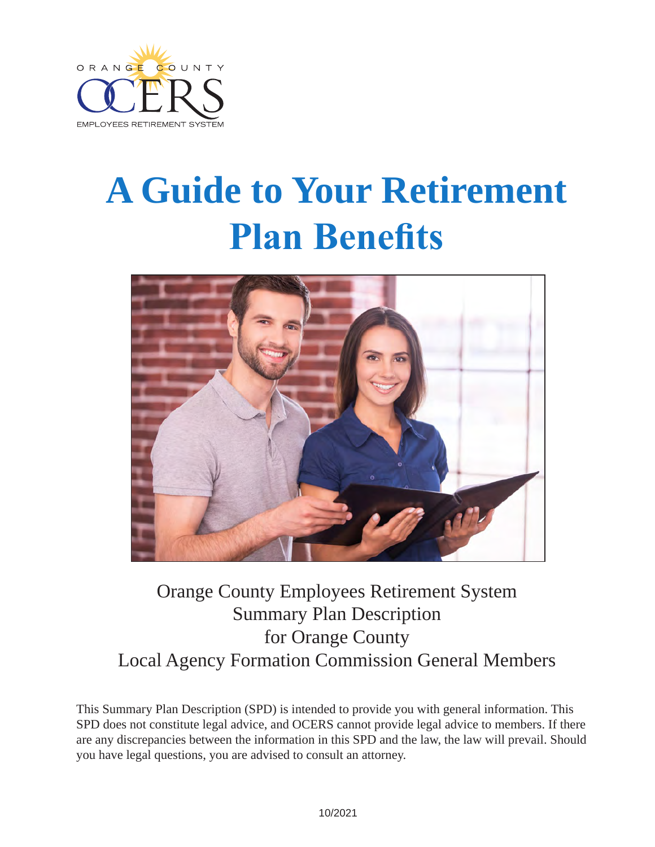

# **A Guide to Your Retirement Plan Benefits**



## Orange County Employees Retirement System Summary Plan Description for Orange County Local Agency Formation Commission General Members

This Summary Plan Description (SPD) is intended to provide you with general information. This SPD does not constitute legal advice, and OCERS cannot provide legal advice to members. If there are any discrepancies between the information in this SPD and the law, the law will prevail. Should you have legal questions, you are advised to consult an attorney.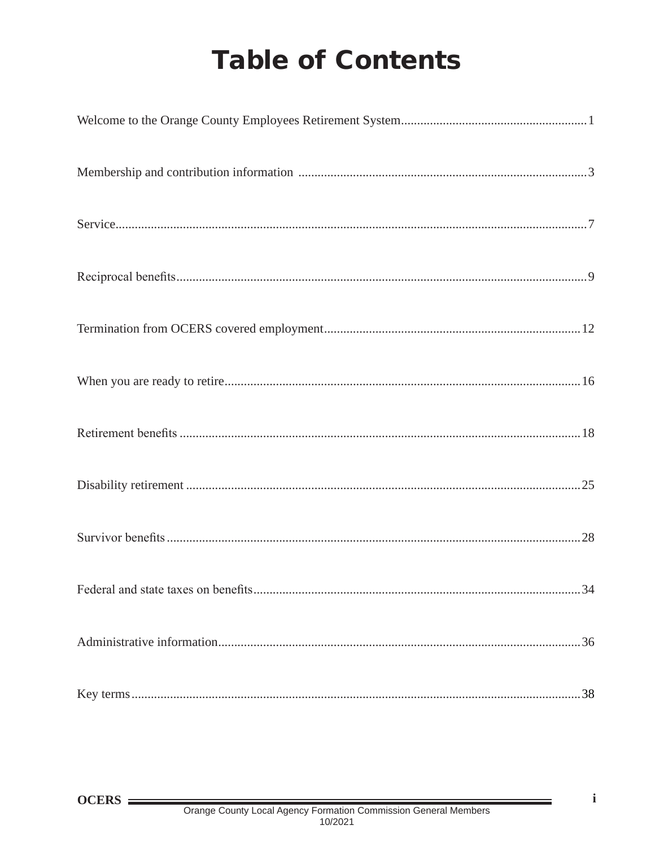## **Table of Contents**

| .34 |
|-----|
|     |
|     |

 $\equiv$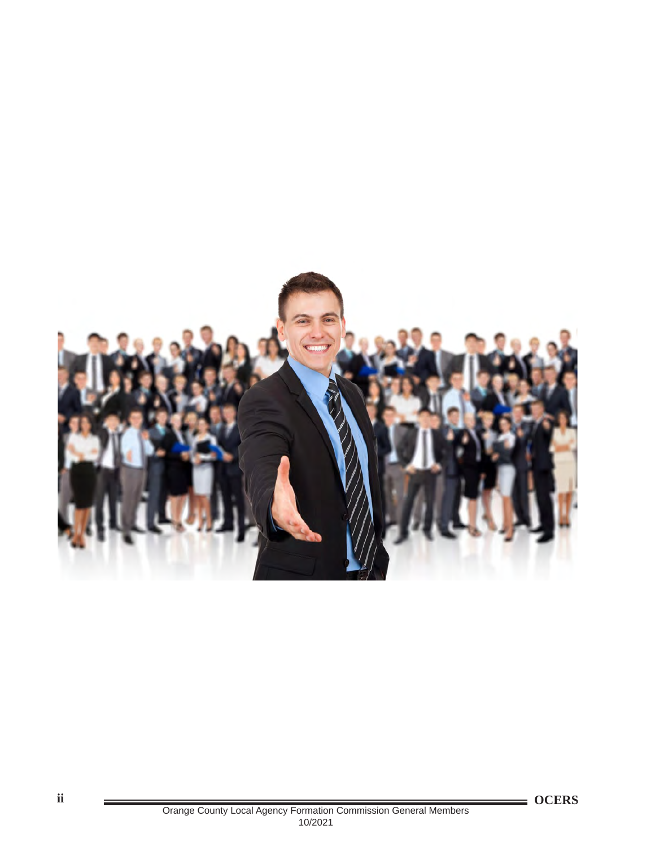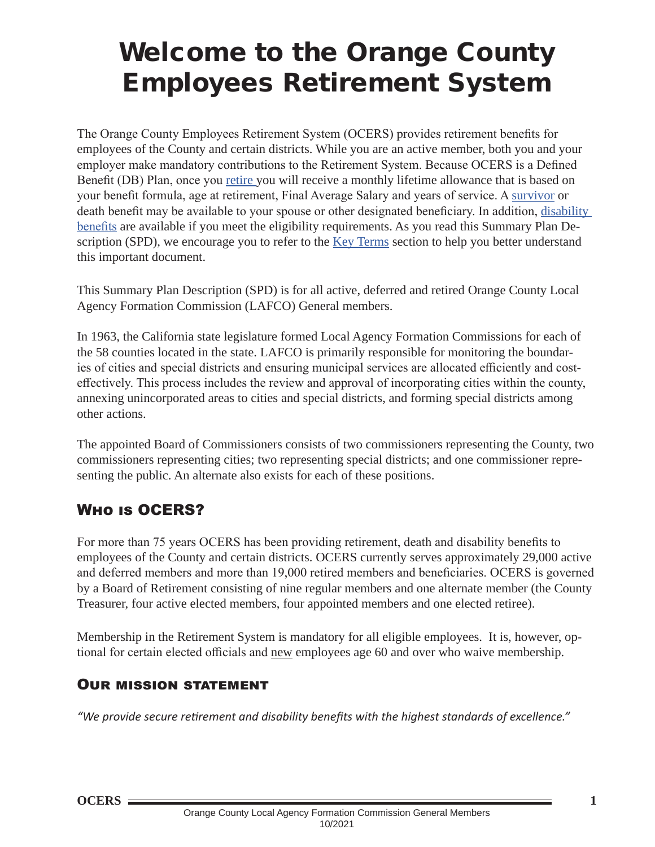## Welcome to the Orange County Employees Retirement System

The Orange County Employees Retirement System (OCERS) provides retirement benefits for employees of the County and certain districts. While you are an active member, both you and your employer make mandatory contributions to the Retirement System. Because OCERS is a Defined Benefit (DB) Plan, once you [retire y](#page-20-0)ou will receive a monthly lifetime allowance that is based on your benefit formula, age at retirement, Final Average Salary and years of service. A [survivor](#page-30-0) or death benefit may be available to your spouse or other designated beneficiary. In addition, disability [benefits](#page-27-0) are available if you meet the eligibility requirements. As you read this Summary Plan Description (SPD), we encourage you to refer to the [Key Terms](#page-40-0) section to help you better understand this important document.

This Summary Plan Description (SPD) is for all active, deferred and retired Orange County Local Agency Formation Commission (LAFCO) General members.

In 1963, the California state legislature formed Local Agency Formation Commissions for each of the 58 counties located in the state. LAFCO is primarily responsible for monitoring the boundaries of cities and special districts and ensuring municipal services are allocated efficiently and costeffectively. This process includes the review and approval of incorporating cities within the county, annexing unincorporated areas to cities and special districts, and forming special districts among other actions.

The appointed Board of Commissioners consists of two commissioners representing the County, two commissioners representing cities; two representing special districts; and one commissioner representing the public. An alternate also exists for each of these positions.

## Who is OCERS?

For more than 75 years OCERS has been providing retirement, death and disability benefits to employees of the County and certain districts. OCERS currently serves approximately 29,000 active and deferred members and more than 19,000 retired members and beneficiaries. OCERS is governed by a Board of Retirement consisting of nine regular members and one alternate member (the County Treasurer, four active elected members, four appointed members and one elected retiree).

Membership in the Retirement System is mandatory for all eligible employees. It is, however, optional for certain elected officials and new employees age 60 and over who waive membership.

## Our mission statement

*"We provide secure retirement and disability benefits with the highest standards of excellence."*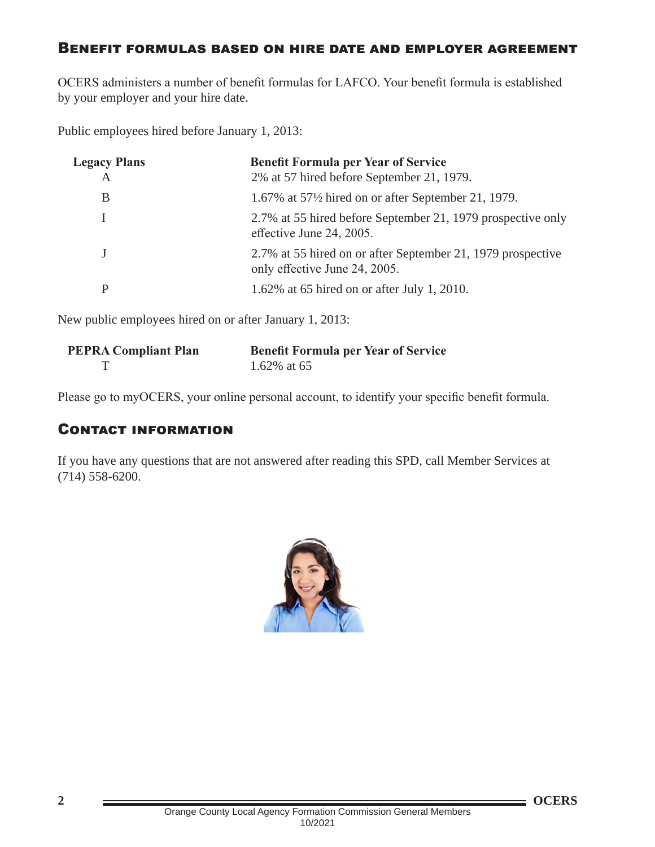#### Benefit formulas based on hire date and employer agreement

OCERS administers a number of benefit formulas for LAFCO. Your benefit formula is established by your employer and your hire date.

Public employees hired before January 1, 2013:

| <b>Legacy Plans</b><br>A | <b>Benefit Formula per Year of Service</b><br>2% at 57 hired before September 21, 1979.      |
|--------------------------|----------------------------------------------------------------------------------------------|
| B                        | 1.67% at $57\frac{1}{2}$ hired on or after September 21, 1979.                               |
|                          | 2.7% at 55 hired before September 21, 1979 prospective only<br>effective June 24, 2005.      |
|                          | 2.7% at 55 hired on or after September 21, 1979 prospective<br>only effective June 24, 2005. |
| P                        | $1.62\%$ at 65 hired on or after July 1, 2010.                                               |

New public employees hired on or after January 1, 2013:

| <b>PEPRA Compliant Plan</b> | <b>Benefit Formula per Year of Service</b> |
|-----------------------------|--------------------------------------------|
|                             | 1.62\% at 65                               |

Please go to myOCERS, your online personal account, to identify your specific benefit formula.

#### Contact information

If you have any questions that are not answered after reading this SPD, call Member Services at (714) 558-6200.

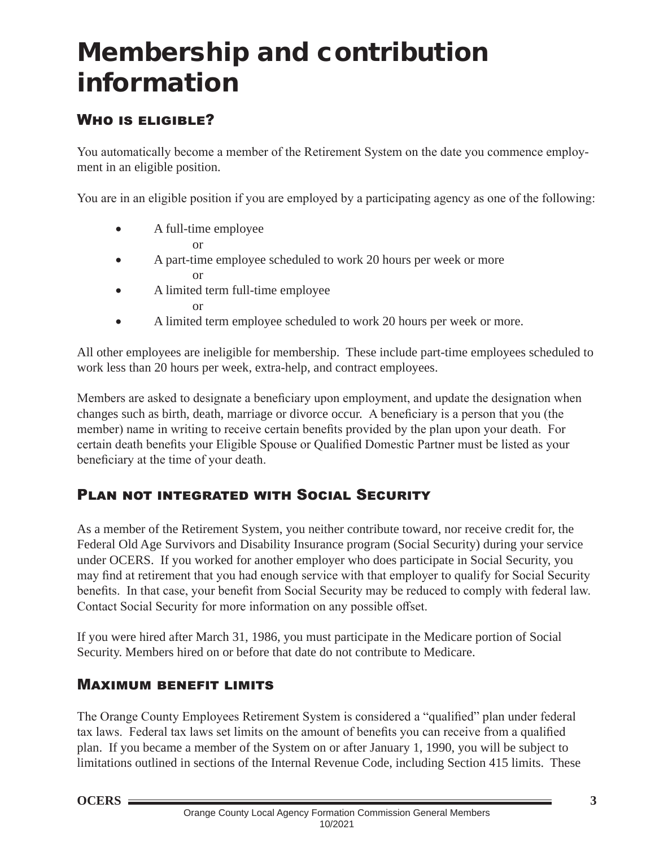## Membership and contribution information

## WHO IS ELIGIBLE?

You automatically become a member of the Retirement System on the date you commence employment in an eligible position.

You are in an eligible position if you are employed by a participating agency as one of the following:

- A full-time employee
	- or
- A part-time employee scheduled to work 20 hours per week or more or
- A limited term full-time employee
	- or
- A limited term employee scheduled to work 20 hours per week or more.

All other employees are ineligible for membership. These include part-time employees scheduled to work less than 20 hours per week, extra-help, and contract employees.

Members are asked to designate a beneficiary upon employment, and update the designation when changes such as birth, death, marriage or divorce occur. A beneficiary is a person that you (the member) name in writing to receive certain benefits provided by the plan upon your death. For certain death benefits your Eligible Spouse or Qualified Domestic Partner must be listed as your beneficiary at the time of your death.

## Plan not integrated with Social Security

As a member of the Retirement System, you neither contribute toward, nor receive credit for, the Federal Old Age Survivors and Disability Insurance program (Social Security) during your service under OCERS. If you worked for another employer who does participate in Social Security, you may find at retirement that you had enough service with that employer to qualify for Social Security benefits. In that case, your benefit from Social Security may be reduced to comply with federal law. Contact Social Security for more information on any possible offset.

If you were hired after March 31, 1986, you must participate in the Medicare portion of Social Security. Members hired on or before that date do not contribute to Medicare.

## Maximum benefit limits

The Orange County Employees Retirement System is considered a "qualified" plan under federal tax laws. Federal tax laws set limits on the amount of benefits you can receive from a qualified plan. If you became a member of the System on or after January 1, 1990, you will be subject to limitations outlined in sections of the Internal Revenue Code, including Section 415 limits. These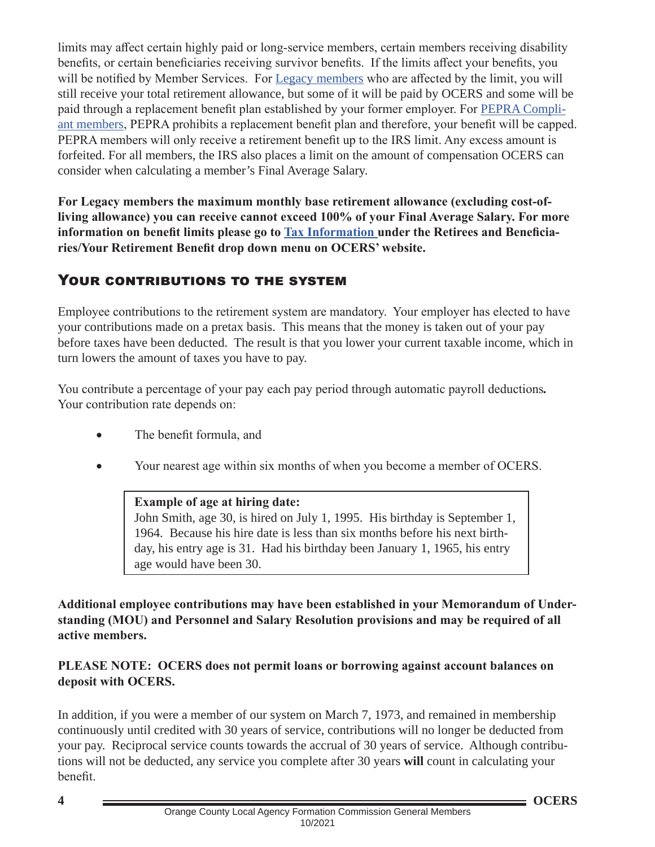limits may affect certain highly paid or long-service members, certain members receiving disability benefits, or certain beneficiaries receiving survivor benefits. If the limits affect your benefits, you will be notified by Member Services. For [Legacy members](#page-41-0) who are affected by the limit, you will still receive your total retirement allowance, but some of it will be paid by OCERS and some will be paid through a replacement benefit plan established by your former employer. For [PEPRA Compli](#page-41-0)[ant members](#page-41-0), PEPRA prohibits a replacement benefit plan and therefore, your benefit will be capped. PEPRA members will only receive a retirement benefit up to the IRS limit. Any excess amount is forfeited. For all members, the IRS also places a limit on the amount of compensation OCERS can consider when calculating a member's Final Average Salary.

**For Legacy members the maximum monthly base retirement allowance (excluding cost-ofliving allowance) you can receive cannot exceed 100% of your Final Average Salary. For more information on benefit limits please go to [Tax Information](https://www.ocers.org/tax-information) under the Retirees and Beneficiaries/Your Retirement Benefit drop down menu on OCERS' website.**

## YOUR CONTRIBUTIONS TO THE SYSTEM

Employee contributions to the retirement system are mandatory. Your employer has elected to have your contributions made on a pretax basis. This means that the money is taken out of your pay before taxes have been deducted. The result is that you lower your current taxable income, which in turn lowers the amount of taxes you have to pay.

You contribute a percentage of your pay each pay period through automatic payroll deductions*.* Your contribution rate depends on:

- The benefit formula, and
- Your nearest age within six months of when you become a member of OCERS.

#### **Example of age at hiring date:**

John Smith, age 30, is hired on July 1, 1995. His birthday is September 1, 1964. Because his hire date is less than six months before his next birthday, his entry age is 31. Had his birthday been January 1, 1965, his entry age would have been 30.

**Additional employee contributions may have been established in your Memorandum of Understanding (MOU) and Personnel and Salary Resolution provisions and may be required of all active members.**

#### **PLEASE NOTE: OCERS does not permit loans or borrowing against account balances on deposit with OCERS.**

In addition, if you were a member of our system on March 7, 1973, and remained in membership continuously until credited with 30 years of service, contributions will no longer be deducted from your pay. Reciprocal service counts towards the accrual of 30 years of service. Although contributions will not be deducted, any service you complete after 30 years **will** count in calculating your benefit.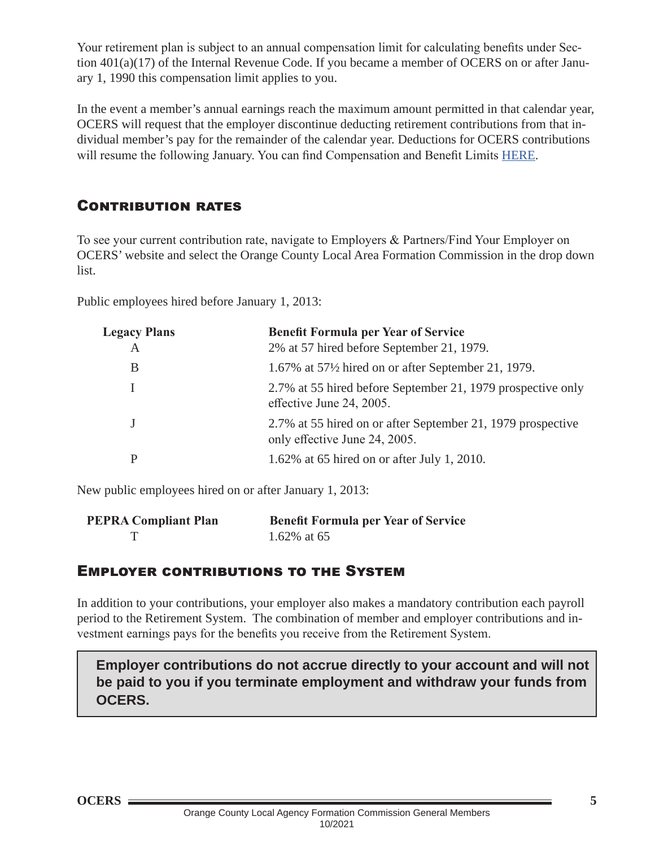Your retirement plan is subject to an annual compensation limit for calculating benefits under Section 401(a)(17) of the Internal Revenue Code. If you became a member of OCERS on or after January 1, 1990 this compensation limit applies to you.

In the event a member's annual earnings reach the maximum amount permitted in that calendar year, OCERS will request that the employer discontinue deducting retirement contributions from that individual member's pay for the remainder of the calendar year. Deductions for OCERS contributions will resume the following January. You can find Compensation and Benefit Limits [HERE.](https://www.ocers.org/post/compensation-and-benefit-limits)

#### **CONTRIBUTION RATES**

To see your current contribution rate, navigate to Employers & Partners/Find Your Employer on OCERS' website and select the Orange County Local Area Formation Commission in the drop down list.

Public employees hired before January 1, 2013:

| <b>Legacy Plans</b><br>A | <b>Benefit Formula per Year of Service</b><br>2% at 57 hired before September 21, 1979.      |
|--------------------------|----------------------------------------------------------------------------------------------|
| B                        | 1.67% at $57\frac{1}{2}$ hired on or after September 21, 1979.                               |
|                          | 2.7% at 55 hired before September 21, 1979 prospective only<br>effective June 24, 2005.      |
|                          | 2.7% at 55 hired on or after September 21, 1979 prospective<br>only effective June 24, 2005. |
| P                        | $1.62\%$ at 65 hired on or after July 1, 2010.                                               |

New public employees hired on or after January 1, 2013:

| <b>PEPRA Compliant Plan</b> | <b>Benefit Formula per Year of Service</b> |
|-----------------------------|--------------------------------------------|
|                             | 1.62% at 65                                |

#### Employer contributions to the System

In addition to your contributions, your employer also makes a mandatory contribution each payroll period to the Retirement System. The combination of member and employer contributions and investment earnings pays for the benefits you receive from the Retirement System.

**Employer contributions do not accrue directly to your account and will not be paid to you if you terminate employment and withdraw your funds from OCERS.**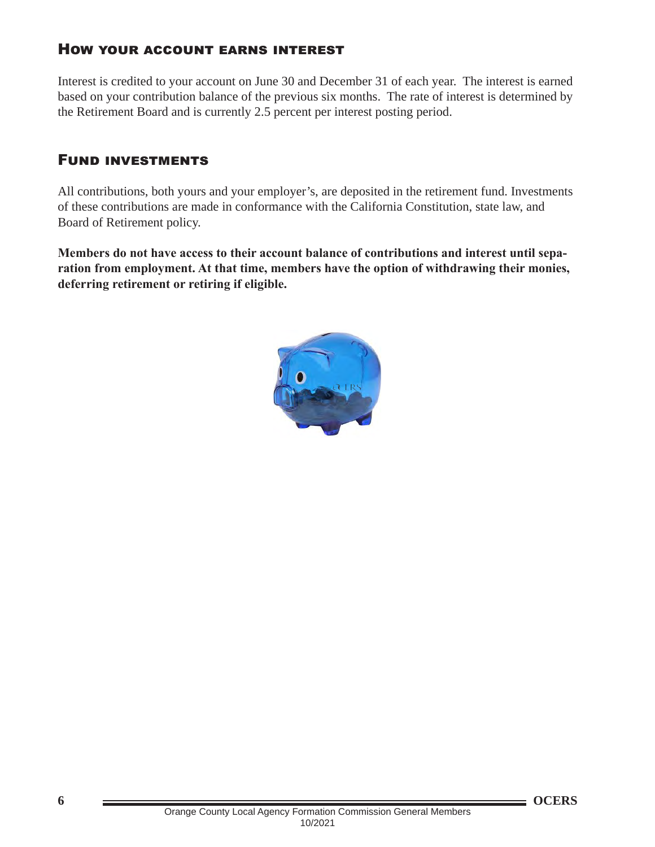#### How your account earns interest

Interest is credited to your account on June 30 and December 31 of each year. The interest is earned based on your contribution balance of the previous six months. The rate of interest is determined by the Retirement Board and is currently 2.5 percent per interest posting period.

#### Fund investments

All contributions, both yours and your employer's, are deposited in the retirement fund. Investments of these contributions are made in conformance with the California Constitution, state law, and Board of Retirement policy.

**Members do not have access to their account balance of contributions and interest until separation from employment. At that time, members have the option of withdrawing their monies, deferring retirement or retiring if eligible.** 

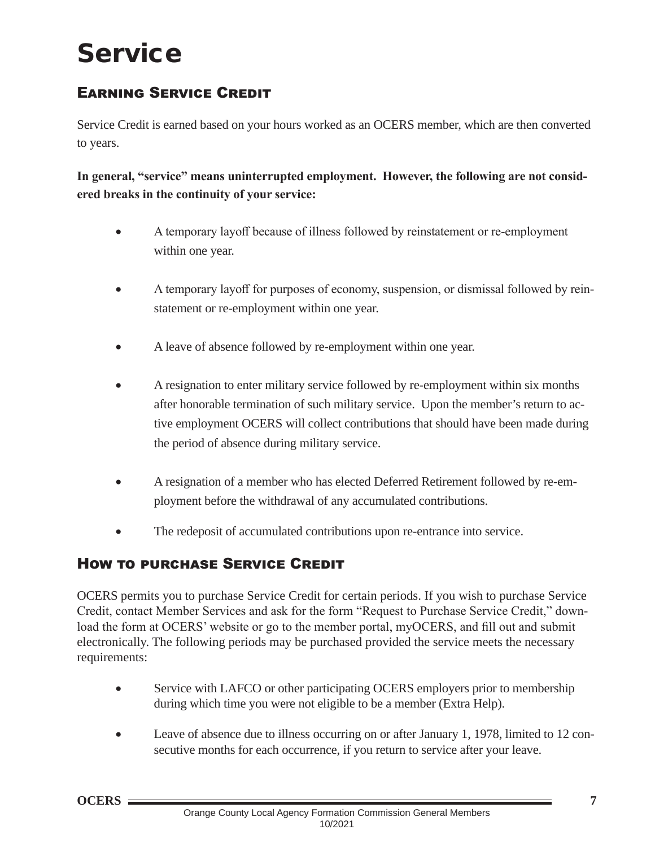## Service

## Earning Service Credit

Service Credit is earned based on your hours worked as an OCERS member, which are then converted to years.

**In general, "service" means uninterrupted employment. However, the following are not considered breaks in the continuity of your service:**

- A temporary layoff because of illness followed by reinstatement or re-employment within one year.
- A temporary layoff for purposes of economy, suspension, or dismissal followed by reinstatement or re-employment within one year.
- A leave of absence followed by re-employment within one year.
- A resignation to enter military service followed by re-employment within six months after honorable termination of such military service. Upon the member's return to active employment OCERS will collect contributions that should have been made during the period of absence during military service.
- A resignation of a member who has elected Deferred Retirement followed by re-employment before the withdrawal of any accumulated contributions.
- The redeposit of accumulated contributions upon re-entrance into service.

#### How to purchase Service Credit

OCERS permits you to purchase Service Credit for certain periods. If you wish to purchase Service Credit, contact Member Services and ask for the form "Request to Purchase Service Credit," download the form at OCERS' website or go to the member portal, myOCERS, and fill out and submit electronically. The following periods may be purchased provided the service meets the necessary requirements:

- Service with LAFCO or other participating OCERS employers prior to membership during which time you were not eligible to be a member (Extra Help).
- Leave of absence due to illness occurring on or after January 1, 1978, limited to 12 consecutive months for each occurrence, if you return to service after your leave.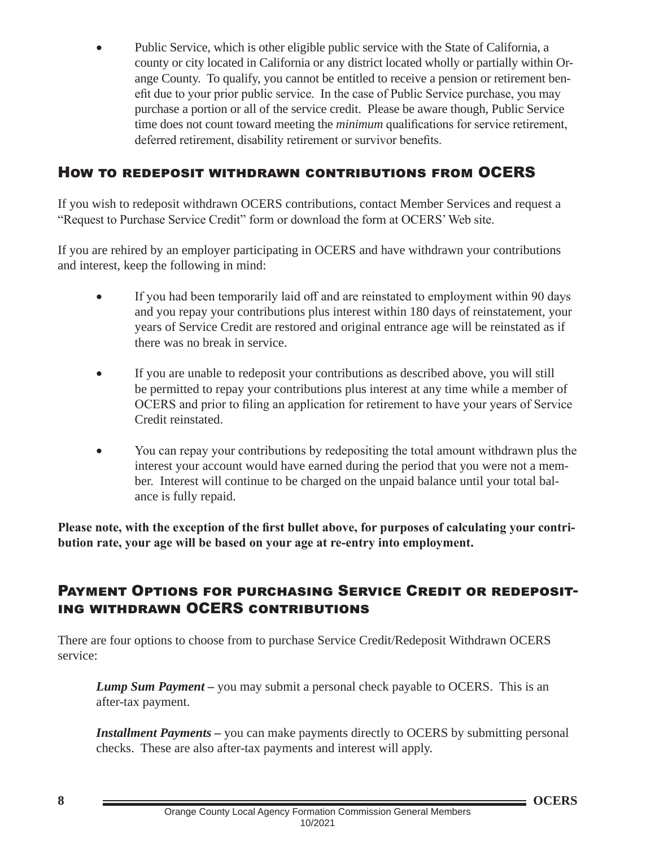Public Service, which is other eligible public service with the State of California, a county or city located in California or any district located wholly or partially within Orange County. To qualify, you cannot be entitled to receive a pension or retirement benefit due to your prior public service. In the case of Public Service purchase, you may purchase a portion or all of the service credit. Please be aware though, Public Service time does not count toward meeting the *minimum* qualifications for service retirement, deferred retirement, disability retirement or survivor benefits.

#### How to redeposit withdrawn contributions from OCERS

If you wish to redeposit withdrawn OCERS contributions, contact Member Services and request a "Request to Purchase Service Credit" form or download the form at OCERS' Web site.

If you are rehired by an employer participating in OCERS and have withdrawn your contributions and interest, keep the following in mind:

- If you had been temporarily laid off and are reinstated to employment within 90 days and you repay your contributions plus interest within 180 days of reinstatement, your years of Service Credit are restored and original entrance age will be reinstated as if there was no break in service.
- If you are unable to redeposit your contributions as described above, you will still be permitted to repay your contributions plus interest at any time while a member of OCERS and prior to filing an application for retirement to have your years of Service Credit reinstated.
- You can repay your contributions by redepositing the total amount withdrawn plus the interest your account would have earned during the period that you were not a member. Interest will continue to be charged on the unpaid balance until your total balance is fully repaid.

**Please note, with the exception of the first bullet above, for purposes of calculating your contribution rate, your age will be based on your age at re-entry into employment.**

#### Payment Options for purchasing Service Credit or redepositing withdrawn OCERS contributions

There are four options to choose from to purchase Service Credit/Redeposit Withdrawn OCERS service:

*Lump Sum Payment – you may submit a personal check payable to OCERS. This is an* after-tax payment.

*Installment Payments –* you can make payments directly to OCERS by submitting personal checks. These are also after-tax payments and interest will apply.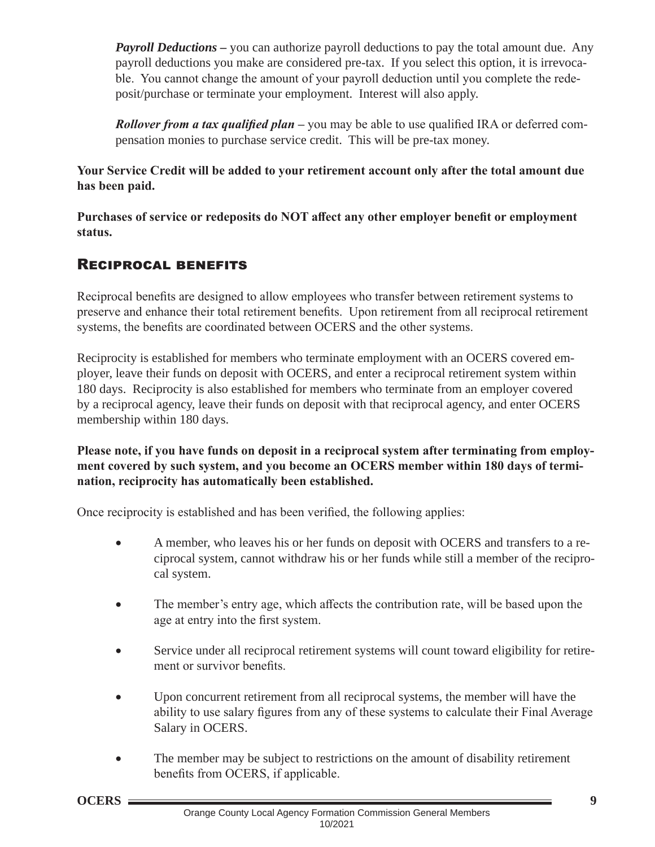<span id="page-11-0"></span>*Payroll Deductions – you can authorize payroll deductions to pay the total amount due. Any* payroll deductions you make are considered pre-tax. If you select this option, it is irrevocable. You cannot change the amount of your payroll deduction until you complete the redeposit/purchase or terminate your employment. Interest will also apply.

*Rollover from a tax qualified plan –* you may be able to use qualified IRA or deferred compensation monies to purchase service credit. This will be pre-tax money.

**Your Service Credit will be added to your retirement account only after the total amount due has been paid.** 

**Purchases of service or redeposits do NOT affect any other employer benefit or employment status.**

#### Reciprocal benefits

Reciprocal benefits are designed to allow employees who transfer between retirement systems to preserve and enhance their total retirement benefits. Upon retirement from all reciprocal retirement systems, the benefits are coordinated between OCERS and the other systems.

Reciprocity is established for members who terminate employment with an OCERS covered employer, leave their funds on deposit with OCERS, and enter a reciprocal retirement system within 180 days. Reciprocity is also established for members who terminate from an employer covered by a reciprocal agency, leave their funds on deposit with that reciprocal agency, and enter OCERS membership within 180 days.

**Please note, if you have funds on deposit in a reciprocal system after terminating from employment covered by such system, and you become an OCERS member within 180 days of termination, reciprocity has automatically been established.** 

Once reciprocity is established and has been verified, the following applies:

- A member, who leaves his or her funds on deposit with OCERS and transfers to a reciprocal system, cannot withdraw his or her funds while still a member of the reciprocal system.
- The member's entry age, which affects the contribution rate, will be based upon the age at entry into the first system.
- Service under all reciprocal retirement systems will count toward eligibility for retirement or survivor benefits.
- Upon concurrent retirement from all reciprocal systems, the member will have the ability to use salary figures from any of these systems to calculate their Final Average Salary in OCERS.
- The member may be subject to restrictions on the amount of disability retirement benefits from OCERS, if applicable.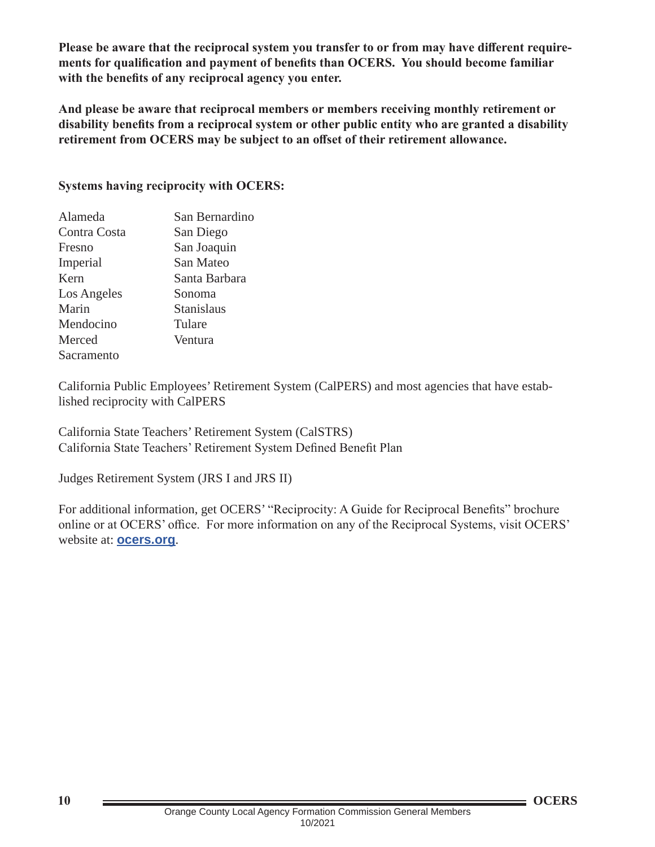**Please be aware that the reciprocal system you transfer to or from may have different requirements for qualification and payment of benefits than OCERS. You should become familiar with the benefits of any reciprocal agency you enter.**

**And please be aware that reciprocal members or members receiving monthly retirement or disability benefits from a reciprocal system or other public entity who are granted a disability retirement from OCERS may be subject to an offset of their retirement allowance.**

**Systems having reciprocity with OCERS:**

| Alameda      | San Bernardino    |
|--------------|-------------------|
| Contra Costa | San Diego         |
| Fresno       | San Joaquin       |
| Imperial     | San Mateo         |
| Kern         | Santa Barbara     |
| Los Angeles  | Sonoma            |
| Marin        | <b>Stanislaus</b> |
| Mendocino    | Tulare            |
| Merced       | Ventura           |
| Sacramento   |                   |

California Public Employees' Retirement System (CalPERS) and most agencies that have established reciprocity with CalPERS

California State Teachers' Retirement System (CalSTRS) California State Teachers' Retirement System Defined Benefit Plan

Judges Retirement System (JRS I and JRS II)

For additional information, get OCERS' "Reciprocity: A Guide for Reciprocal Benefits" brochure online or at OCERS' office. For more information on any of the Reciprocal Systems, visit OCERS' website at: **[ocers.org](https://www.ocers.org)**.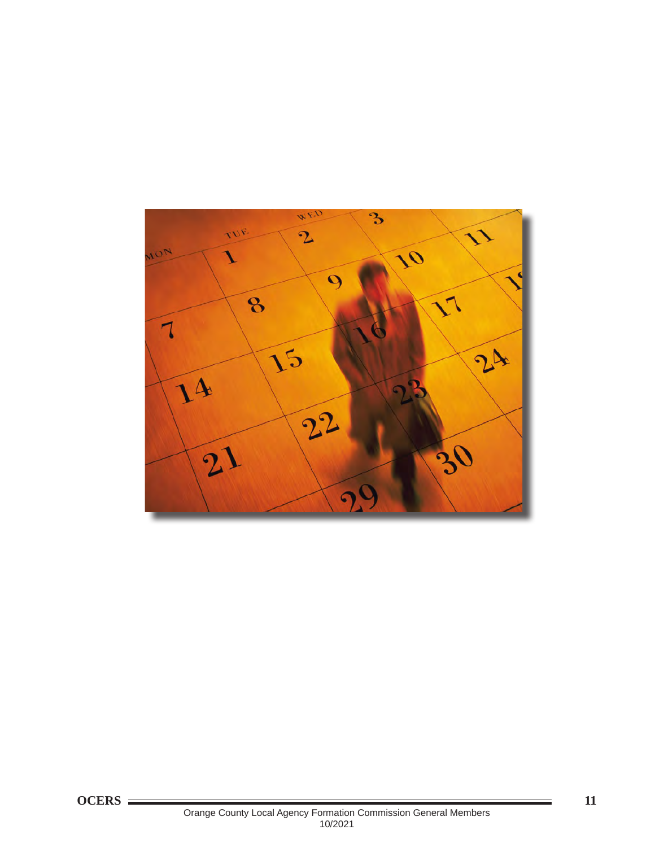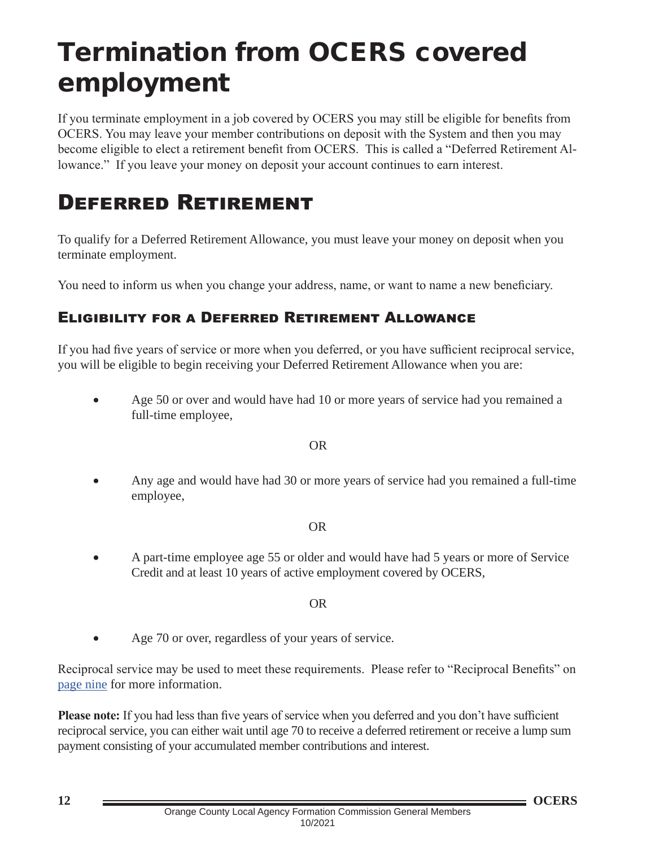## Termination from OCERS covered employment

If you terminate employment in a job covered by OCERS you may still be eligible for benefits from OCERS. You may leave your member contributions on deposit with the System and then you may become eligible to elect a retirement benefit from OCERS. This is called a "Deferred Retirement Allowance." If you leave your money on deposit your account continues to earn interest.

## Deferred Retirement

To qualify for a Deferred Retirement Allowance, you must leave your money on deposit when you terminate employment.

You need to inform us when you change your address, name, or want to name a new beneficiary.

#### Eligibility for a Deferred Retirement Allowance

If you had five years of service or more when you deferred, or you have sufficient reciprocal service, you will be eligible to begin receiving your Deferred Retirement Allowance when you are:

• Age 50 or over and would have had 10 or more years of service had you remained a full-time employee,

OR

• Any age and would have had 30 or more years of service had you remained a full-time employee,

#### OR

• A part-time employee age 55 or older and would have had 5 years or more of Service Credit and at least 10 years of active employment covered by OCERS,

#### OR

Age 70 or over, regardless of your years of service.

Reciprocal service may be used to meet these requirements. Please refer to "Reciprocal Benefits" on [page nine](#page-11-0) for more information.

Please note: If you had less than five years of service when you deferred and you don't have sufficient reciprocal service, you can either wait until age 70 to receive a deferred retirement or receive a lump sum payment consisting of your accumulated member contributions and interest.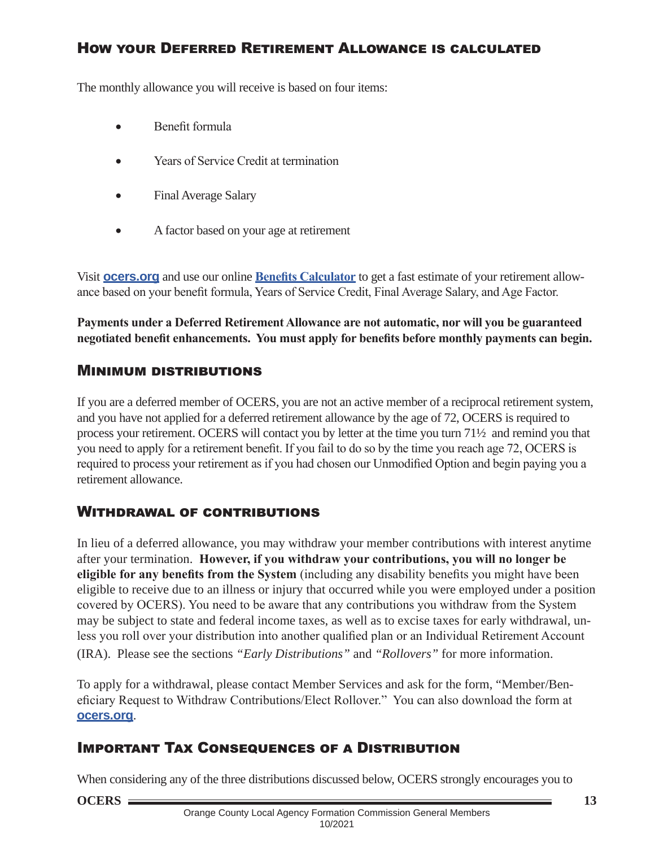## How your Deferred Retirement Allowance is calculated

The monthly allowance you will receive is based on four items:

- Benefit formula
- Years of Service Credit at termination
- Final Average Salary
- A factor based on your age at retirement

Visit **[ocers.org](https://www.ocers.org)** and use our online **[Benefits Calculator](https://www.ocers.org/benefits-calculator)** to get a fast estimate of your retirement allowance based on your benefit formula, Years of Service Credit, Final Average Salary, and Age Factor.

**Payments under a Deferred Retirement Allowance are not automatic, nor will you be guaranteed negotiated benefit enhancements. You must apply for benefits before monthly payments can begin.**

#### Minimum distributions

If you are a deferred member of OCERS, you are not an active member of a reciprocal retirement system, and you have not applied for a deferred retirement allowance by the age of 72, OCERS is required to process your retirement. OCERS will contact you by letter at the time you turn 71½ and remind you that you need to apply for a retirement benefit. If you fail to do so by the time you reach age 72, OCERS is required to process your retirement as if you had chosen our Unmodified Option and begin paying you a retirement allowance.

#### Withdrawal of contributions

In lieu of a deferred allowance, you may withdraw your member contributions with interest anytime after your termination. **However, if you withdraw your contributions, you will no longer be eligible for any benefits from the System** (including any disability benefits you might have been eligible to receive due to an illness or injury that occurred while you were employed under a position covered by OCERS). You need to be aware that any contributions you withdraw from the System may be subject to state and federal income taxes, as well as to excise taxes for early withdrawal, unless you roll over your distribution into another qualified plan or an Individual Retirement Account (IRA). Please see the sections *"Early Distributions"* and *"Rollovers"* for more information.

To apply for a withdrawal, please contact Member Services and ask for the form, "Member/Beneficiary Request to Withdraw Contributions/Elect Rollover." You can also download the form at **[ocers.org](https://www.ocers.org)**.

#### Important Tax Consequences of a Distribution

When considering any of the three distributions discussed below, OCERS strongly encourages you to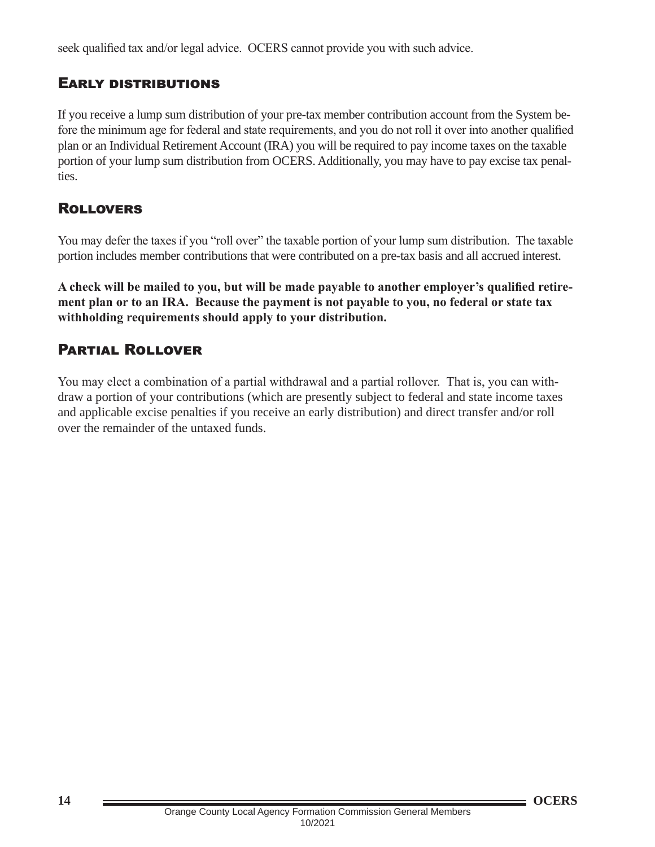seek qualified tax and/or legal advice. OCERS cannot provide you with such advice.

#### Early distributions

If you receive a lump sum distribution of your pre-tax member contribution account from the System before the minimum age for federal and state requirements, and you do not roll it over into another qualified plan or an Individual Retirement Account (IRA) you will be required to pay income taxes on the taxable portion of your lump sum distribution from OCERS. Additionally, you may have to pay excise tax penalties.

#### **ROLLOVERS**

You may defer the taxes if you "roll over" the taxable portion of your lump sum distribution. The taxable portion includes member contributions that were contributed on a pre-tax basis and all accrued interest.

**A check will be mailed to you, but will be made payable to another employer's qualified retirement plan or to an IRA. Because the payment is not payable to you, no federal or state tax withholding requirements should apply to your distribution.**

## Partial Rollover

You may elect a combination of a partial withdrawal and a partial rollover. That is, you can withdraw a portion of your contributions (which are presently subject to federal and state income taxes and applicable excise penalties if you receive an early distribution) and direct transfer and/or roll over the remainder of the untaxed funds.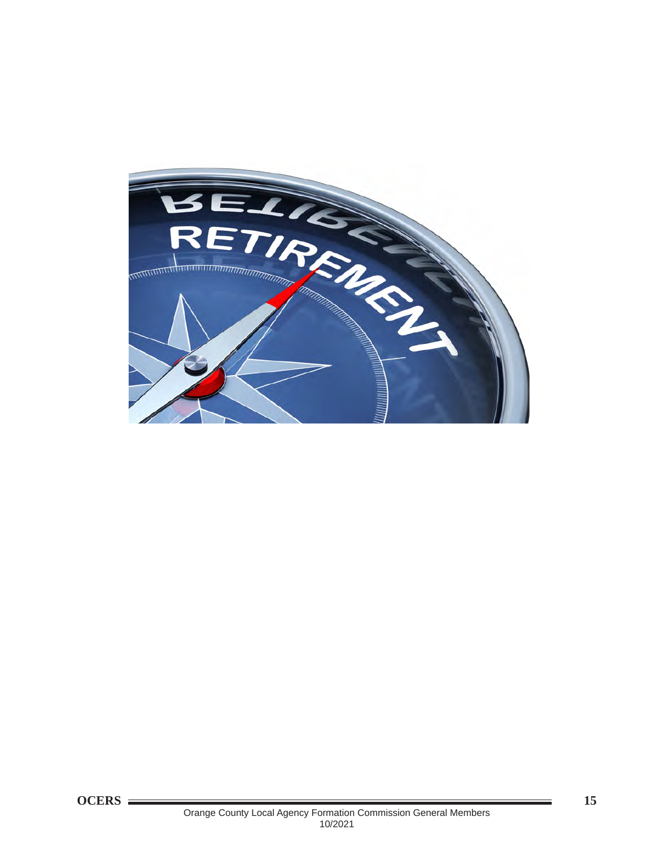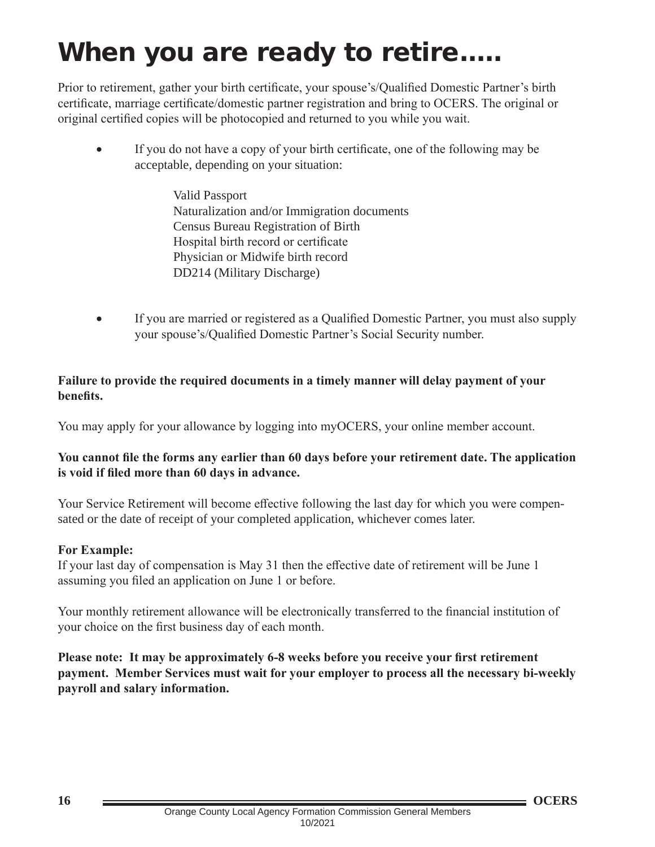## When you are ready to retire.....

Prior to retirement, gather your birth certificate, your spouse's/Qualified Domestic Partner's birth certificate, marriage certificate/domestic partner registration and bring to OCERS. The original or original certified copies will be photocopied and returned to you while you wait.

• If you do not have a copy of your birth certificate, one of the following may be acceptable, depending on your situation:

> Valid Passport Naturalization and/or Immigration documents Census Bureau Registration of Birth Hospital birth record or certificate Physician or Midwife birth record DD214 (Military Discharge)

• If you are married or registered as a Qualified Domestic Partner, you must also supply your spouse's/Qualified Domestic Partner's Social Security number.

#### **Failure to provide the required documents in a timely manner will delay payment of your benefits.**

You may apply for your allowance by logging into myOCERS, your online member account.

#### **You cannot file the forms any earlier than 60 days before your retirement date. The application is void if filed more than 60 days in advance.**

Your Service Retirement will become effective following the last day for which you were compensated or the date of receipt of your completed application, whichever comes later.

#### **For Example:**

If your last day of compensation is May 31 then the effective date of retirement will be June 1 assuming you filed an application on June 1 or before.

Your monthly retirement allowance will be electronically transferred to the financial institution of your choice on the first business day of each month.

**Please note: It may be approximately 6-8 weeks before you receive your first retirement payment. Member Services must wait for your employer to process all the necessary bi-weekly payroll and salary information.**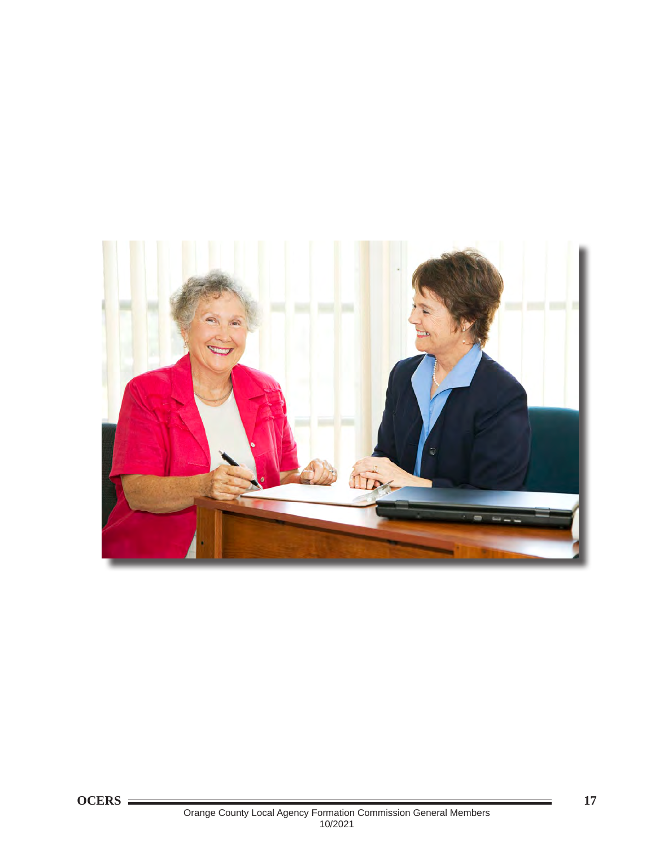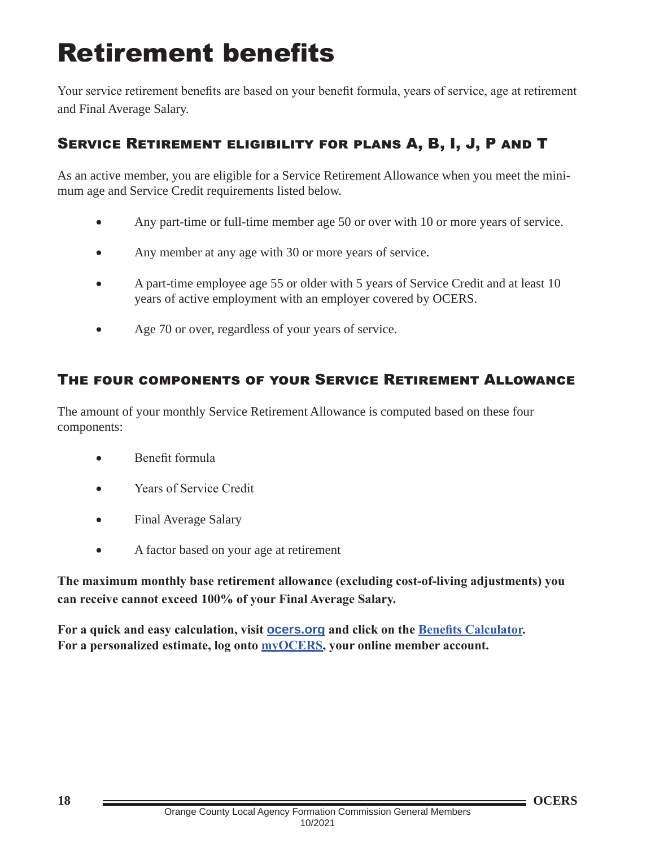## <span id="page-20-0"></span>Retirement benefits

Your service retirement benefits are based on your benefit formula, years of service, age at retirement and Final Average Salary.

## Service Retirement eligibility for plans A, B, I, J, P and T

As an active member, you are eligible for a Service Retirement Allowance when you meet the minimum age and Service Credit requirements listed below.

- Any part-time or full-time member age 50 or over with 10 or more years of service.
- Any member at any age with 30 or more years of service.
- A part-time employee age 55 or older with 5 years of Service Credit and at least 10 years of active employment with an employer covered by OCERS.
- Age 70 or over, regardless of your years of service.

#### The four components of your Service Retirement Allowance

The amount of your monthly Service Retirement Allowance is computed based on these four components:

- Benefit formula
- Years of Service Credit
- Final Average Salary
- A factor based on your age at retirement

**The maximum monthly base retirement allowance (excluding cost-of-living adjustments) you can receive cannot exceed 100% of your Final Average Salary.**

**For a quick and easy calculation, visit [ocers.org](https://www.ocers.org) and click on the [Benefits Calculator](https://www.ocers.org/benefits-calculator). For a personalized estimate, log onto [myOCERS,](https://mss.ocers.org/) your online member account.**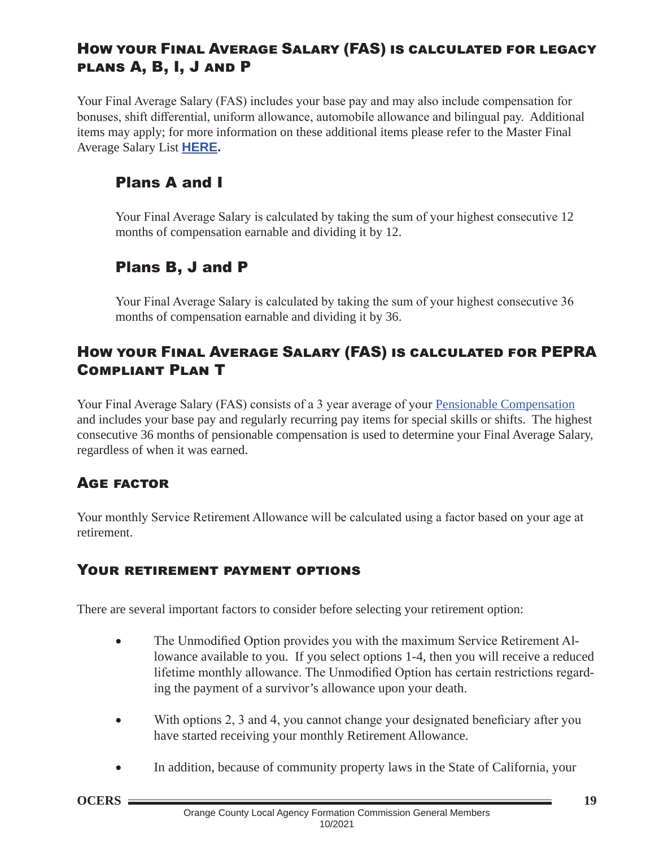## How your Final Average Salary (FAS) is calculated for legacy plans A, B, I, J and P

Your Final Average Salary (FAS) includes your base pay and may also include compensation for bonuses, shift differential, uniform allowance, automobile allowance and bilingual pay. Additional items may apply; for more information on these additional items please refer to the Master Final Average Salary List **[HERE](https://www.ocers.org/node/961).**

#### Plans A and I

Your Final Average Salary is calculated by taking the sum of your highest consecutive 12 months of compensation earnable and dividing it by 12.

## Plans B, J and P

Your Final Average Salary is calculated by taking the sum of your highest consecutive 36 months of compensation earnable and dividing it by 36.

#### How your Final Average Salary (FAS) is calculated for PEPRA Compliant Plan T

Your Final Average Salary (FAS) consists of a 3 year average of your [Pensionable Compensation](#page-41-0) and includes your base pay and regularly recurring pay items for special skills or shifts. The highest consecutive 36 months of pensionable compensation is used to determine your Final Average Salary, regardless of when it was earned.

#### Age factor

Your monthly Service Retirement Allowance will be calculated using a factor based on your age at retirement.

#### YOUR RETIREMENT PAYMENT OPTIONS

There are several important factors to consider before selecting your retirement option:

- The Unmodified Option provides you with the maximum Service Retirement Allowance available to you. If you select options 1-4, then you will receive a reduced lifetime monthly allowance. The Unmodified Option has certain restrictions regarding the payment of a survivor's allowance upon your death.
- With options 2, 3 and 4, you cannot change your designated beneficiary after you have started receiving your monthly Retirement Allowance.
- In addition, because of community property laws in the State of California, your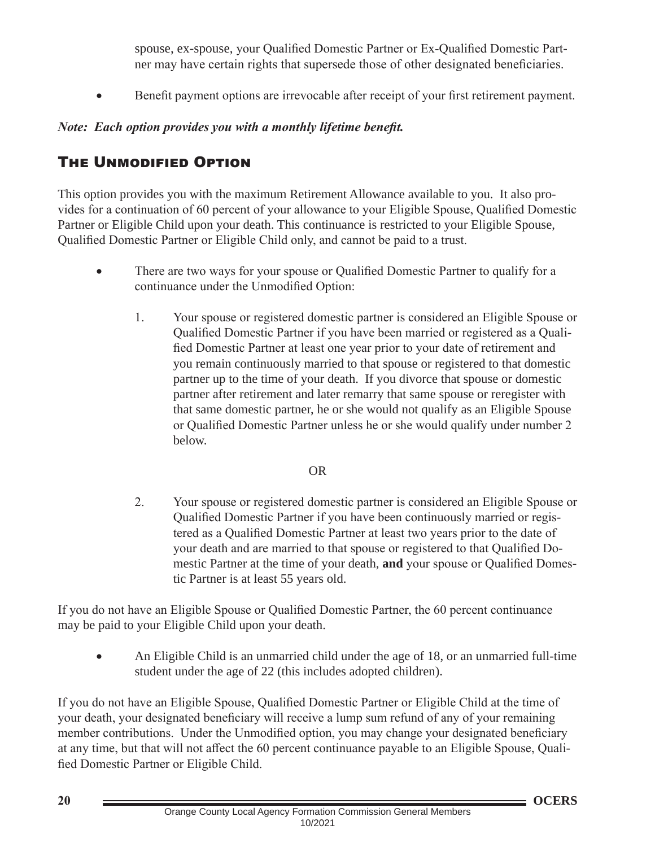spouse, ex-spouse, your Qualified Domestic Partner or Ex-Qualified Domestic Partner may have certain rights that supersede those of other designated beneficiaries.

<span id="page-22-0"></span>• Benefit payment options are irrevocable after receipt of your first retirement payment.

#### *Note: Each option provides you with a monthly lifetime benefit.*

## The Unmodified Option

This option provides you with the maximum Retirement Allowance available to you. It also provides for a continuation of 60 percent of your allowance to your Eligible Spouse, Qualified Domestic Partner or Eligible Child upon your death. This continuance is restricted to your Eligible Spouse, Qualified Domestic Partner or Eligible Child only, and cannot be paid to a trust.

- There are two ways for your spouse or Qualified Domestic Partner to qualify for a continuance under the Unmodified Option:
	- 1. Your spouse or registered domestic partner is considered an Eligible Spouse or Qualified Domestic Partner if you have been married or registered as a Qualified Domestic Partner at least one year prior to your date of retirement and you remain continuously married to that spouse or registered to that domestic partner up to the time of your death. If you divorce that spouse or domestic partner after retirement and later remarry that same spouse or reregister with that same domestic partner, he or she would not qualify as an Eligible Spouse or Qualified Domestic Partner unless he or she would qualify under number 2 below.

#### OR

2. Your spouse or registered domestic partner is considered an Eligible Spouse or Qualified Domestic Partner if you have been continuously married or registered as a Qualified Domestic Partner at least two years prior to the date of your death and are married to that spouse or registered to that Qualified Domestic Partner at the time of your death, **and** your spouse or Qualified Domestic Partner is at least 55 years old.

If you do not have an Eligible Spouse or Qualified Domestic Partner, the 60 percent continuance may be paid to your Eligible Child upon your death.

• An Eligible Child is an unmarried child under the age of 18, or an unmarried full-time student under the age of 22 (this includes adopted children).

If you do not have an Eligible Spouse, Qualified Domestic Partner or Eligible Child at the time of your death, your designated beneficiary will receive a lump sum refund of any of your remaining member contributions. Under the Unmodified option, you may change your designated beneficiary at any time, but that will not affect the 60 percent continuance payable to an Eligible Spouse, Qualified Domestic Partner or Eligible Child.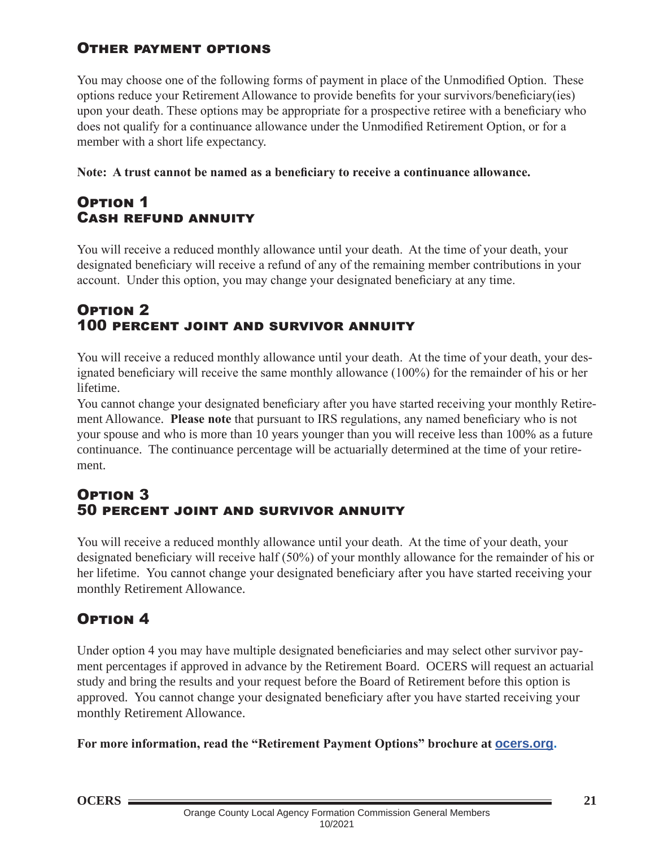## <span id="page-23-0"></span>Other payment options

You may choose one of the following forms of payment in place of the Unmodified Option. These options reduce your Retirement Allowance to provide benefits for your survivors/beneficiary(ies) upon your death. These options may be appropriate for a prospective retiree with a beneficiary who does not qualify for a continuance allowance under the Unmodified Retirement Option, or for a member with a short life expectancy.

#### **Note: A trust cannot be named as a beneficiary to receive a continuance allowance.**

#### **OPTION 1** Cash refund annuity

You will receive a reduced monthly allowance until your death. At the time of your death, your designated beneficiary will receive a refund of any of the remaining member contributions in your account. Under this option, you may change your designated beneficiary at any time.

#### **OPTION 2** 100 percent joint and survivor annuity

You will receive a reduced monthly allowance until your death. At the time of your death, your designated beneficiary will receive the same monthly allowance (100%) for the remainder of his or her lifetime.

You cannot change your designated beneficiary after you have started receiving your monthly Retirement Allowance. **Please note** that pursuant to IRS regulations, any named beneficiary who is not your spouse and who is more than 10 years younger than you will receive less than 100% as a future continuance. The continuance percentage will be actuarially determined at the time of your retirement.

#### **OPTION 3** 50 percent joint and survivor annuity

You will receive a reduced monthly allowance until your death. At the time of your death, your designated beneficiary will receive half (50%) of your monthly allowance for the remainder of his or her lifetime. You cannot change your designated beneficiary after you have started receiving your monthly Retirement Allowance.

## **OPTION 4**

Under option 4 you may have multiple designated beneficiaries and may select other survivor payment percentages if approved in advance by the Retirement Board. OCERS will request an actuarial study and bring the results and your request before the Board of Retirement before this option is approved. You cannot change your designated beneficiary after you have started receiving your monthly Retirement Allowance.

#### **For more information, read the "Retirement Payment Options" brochure at [ocers.org.](https://www.ocers.org)**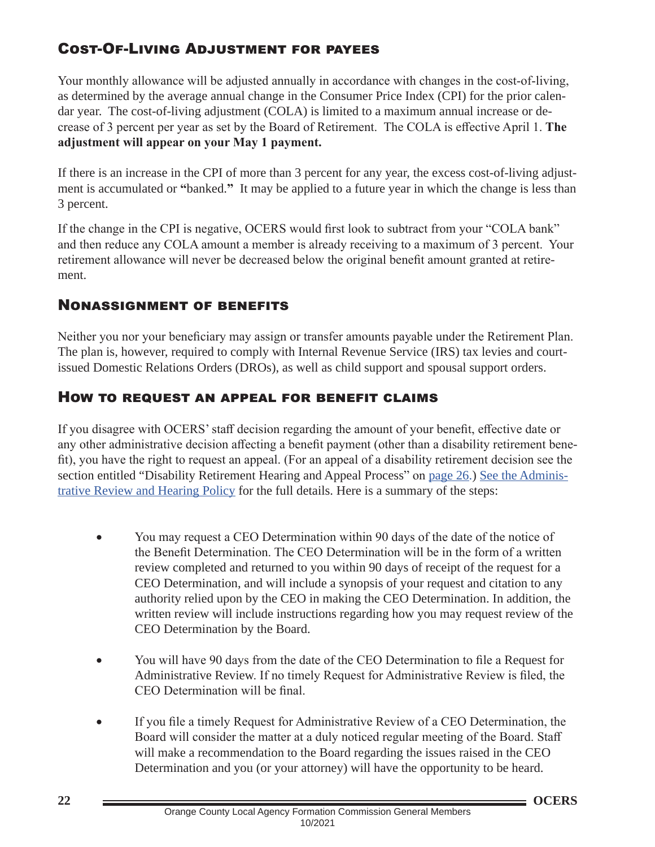## Cost-Of-Living Adjustment for payees

Your monthly allowance will be adjusted annually in accordance with changes in the cost-of-living, as determined by the average annual change in the Consumer Price Index (CPI) for the prior calendar year. The cost-of-living adjustment (COLA) is limited to a maximum annual increase or decrease of 3 percent per year as set by the Board of Retirement. The COLA is effective April 1. **The adjustment will appear on your May 1 payment.**

If there is an increase in the CPI of more than 3 percent for any year, the excess cost-of-living adjustment is accumulated or **"**banked.**"** It may be applied to a future year in which the change is less than 3 percent.

If the change in the CPI is negative, OCERS would first look to subtract from your "COLA bank" and then reduce any COLA amount a member is already receiving to a maximum of 3 percent. Your retirement allowance will never be decreased below the original benefit amount granted at retirement.

#### Nonassignment of benefits

Neither you nor your beneficiary may assign or transfer amounts payable under the Retirement Plan. The plan is, however, required to comply with Internal Revenue Service (IRS) tax levies and courtissued Domestic Relations Orders (DROs), as well as child support and spousal support orders.

#### How to request an appeal for benefit claims

If you disagree with OCERS' staff decision regarding the amount of your benefit, effective date or any other administrative decision affecting a benefit payment (other than a disability retirement benefit), you have the right to request an appeal. (For an appeal of a disability retirement decision see the section entitled "Disability Retirement Hearing and Appeal Process" on [page 26](#page-28-0).) [See the Adminis](https://www.ocers.org/sites/main/files/file-attachments/administrative_review_and_hearing_policy_for_cases_filed_on_or_after_august_18_2020.pdf?1598398697)[trative Review and Hearing Policy](https://www.ocers.org/sites/main/files/file-attachments/administrative_review_and_hearing_policy_for_cases_filed_on_or_after_august_18_2020.pdf?1598398697) for the full details. Here is a summary of the steps:

- You may request a CEO Determination within 90 days of the date of the notice of the Benefit Determination. The CEO Determination will be in the form of a written review completed and returned to you within 90 days of receipt of the request for a CEO Determination, and will include a synopsis of your request and citation to any authority relied upon by the CEO in making the CEO Determination. In addition, the written review will include instructions regarding how you may request review of the CEO Determination by the Board.
- You will have 90 days from the date of the CEO Determination to file a Request for Administrative Review. If no timely Request for Administrative Review is filed, the CEO Determination will be final.
- If you file a timely Request for Administrative Review of a CEO Determination, the Board will consider the matter at a duly noticed regular meeting of the Board. Staff will make a recommendation to the Board regarding the issues raised in the CEO Determination and you (or your attorney) will have the opportunity to be heard.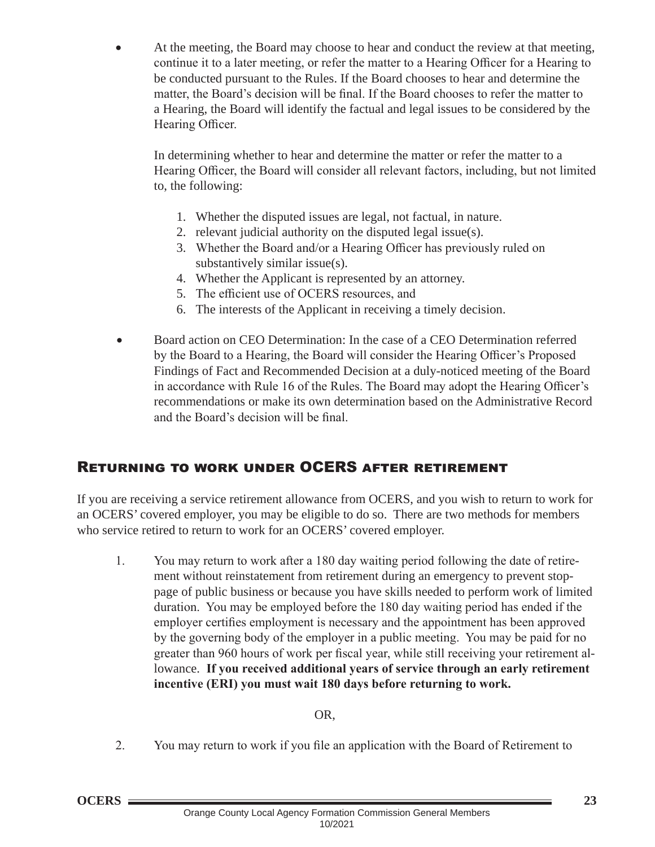At the meeting, the Board may choose to hear and conduct the review at that meeting, continue it to a later meeting, or refer the matter to a Hearing Officer for a Hearing to be conducted pursuant to the Rules. If the Board chooses to hear and determine the matter, the Board's decision will be final. If the Board chooses to refer the matter to a Hearing, the Board will identify the factual and legal issues to be considered by the Hearing Officer.

In determining whether to hear and determine the matter or refer the matter to a Hearing Officer, the Board will consider all relevant factors, including, but not limited to, the following:

- 1. Whether the disputed issues are legal, not factual, in nature.
- 2. relevant judicial authority on the disputed legal issue(s).
- 3. Whether the Board and/or a Hearing Officer has previously ruled on substantively similar issue(s).
- 4. Whether the Applicant is represented by an attorney.
- 5. The efficient use of OCERS resources, and
- 6. The interests of the Applicant in receiving a timely decision.
- Board action on CEO Determination: In the case of a CEO Determination referred by the Board to a Hearing, the Board will consider the Hearing Officer's Proposed Findings of Fact and Recommended Decision at a duly-noticed meeting of the Board in accordance with Rule 16 of the Rules. The Board may adopt the Hearing Officer's recommendations or make its own determination based on the Administrative Record and the Board's decision will be final.

#### Returning to work under OCERS after retirement

If you are receiving a service retirement allowance from OCERS, and you wish to return to work for an OCERS' covered employer, you may be eligible to do so. There are two methods for members who service retired to return to work for an OCERS' covered employer.

1. You may return to work after a 180 day waiting period following the date of retirement without reinstatement from retirement during an emergency to prevent stoppage of public business or because you have skills needed to perform work of limited duration. You may be employed before the 180 day waiting period has ended if the employer certifies employment is necessary and the appointment has been approved by the governing body of the employer in a public meeting. You may be paid for no greater than 960 hours of work per fiscal year, while still receiving your retirement allowance. **If you received additional years of service through an early retirement incentive (ERI) you must wait 180 days before returning to work.**

OR,

2. You may return to work if you file an application with the Board of Retirement to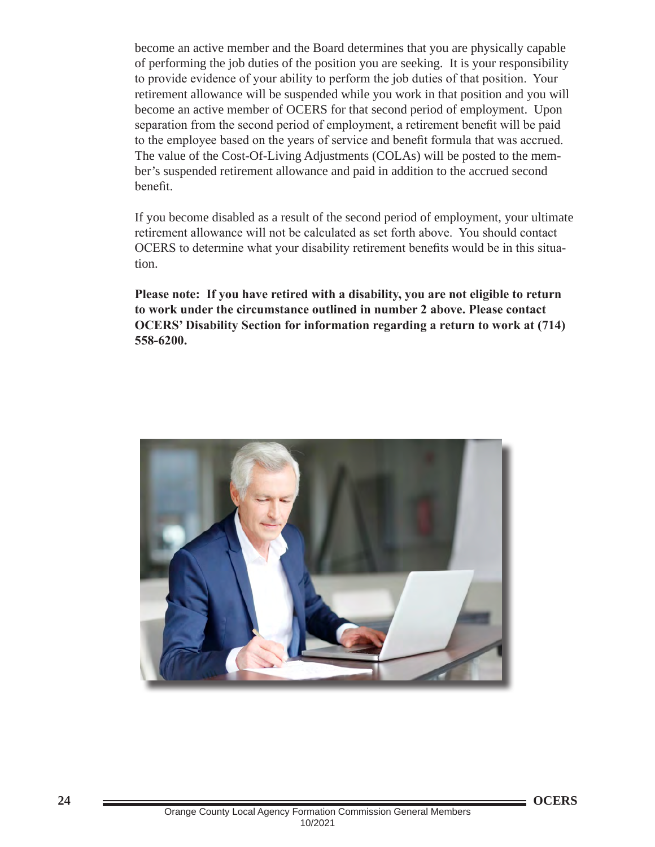become an active member and the Board determines that you are physically capable of performing the job duties of the position you are seeking. It is your responsibility to provide evidence of your ability to perform the job duties of that position. Your retirement allowance will be suspended while you work in that position and you will become an active member of OCERS for that second period of employment. Upon separation from the second period of employment, a retirement benefit will be paid to the employee based on the years of service and benefit formula that was accrued. The value of the Cost-Of-Living Adjustments (COLAs) will be posted to the member's suspended retirement allowance and paid in addition to the accrued second benefit.

If you become disabled as a result of the second period of employment, your ultimate retirement allowance will not be calculated as set forth above. You should contact OCERS to determine what your disability retirement benefits would be in this situation.

**Please note: If you have retired with a disability, you are not eligible to return to work under the circumstance outlined in number 2 above. Please contact OCERS' Disability Section for information regarding a return to work at (714) 558-6200.**

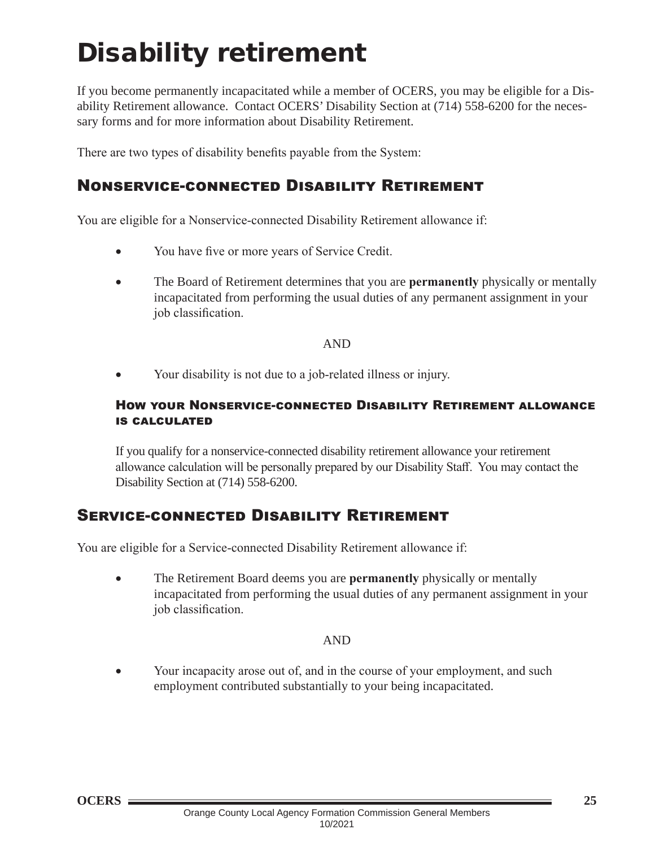## <span id="page-27-0"></span>Disability retirement

If you become permanently incapacitated while a member of OCERS, you may be eligible for a Disability Retirement allowance. Contact OCERS' Disability Section at (714) 558-6200 for the necessary forms and for more information about Disability Retirement.

There are two types of disability benefits payable from the System:

## Nonservice-connected Disability Retirement

You are eligible for a Nonservice-connected Disability Retirement allowance if:

- You have five or more years of Service Credit.
- The Board of Retirement determines that you are **permanently** physically or mentally incapacitated from performing the usual duties of any permanent assignment in your job classification.

#### AND

• Your disability is not due to a job-related illness or injury.

#### How your Nonservice-connected Disability Retirement allowance is calculated

If you qualify for a nonservice-connected disability retirement allowance your retirement allowance calculation will be personally prepared by our Disability Staff. You may contact the Disability Section at (714) 558-6200.

## Service-connected Disability Retirement

You are eligible for a Service-connected Disability Retirement allowance if:

• The Retirement Board deems you are **permanently** physically or mentally incapacitated from performing the usual duties of any permanent assignment in your job classification.

#### AND

• Your incapacity arose out of, and in the course of your employment, and such employment contributed substantially to your being incapacitated.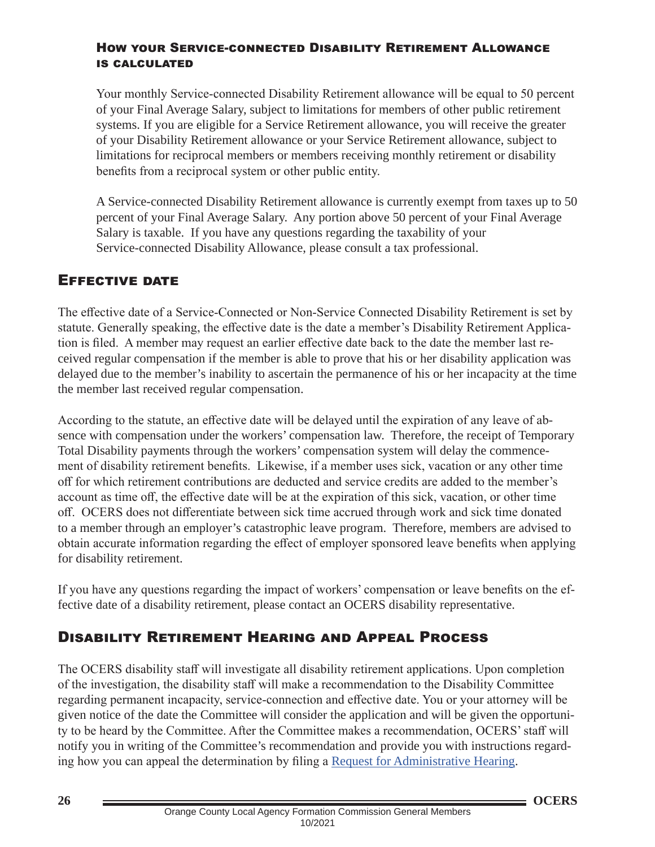#### <span id="page-28-0"></span>How your Service-connected Disability Retirement Allowance is calculated

Your monthly Service-connected Disability Retirement allowance will be equal to 50 percent of your Final Average Salary, subject to limitations for members of other public retirement systems. If you are eligible for a Service Retirement allowance, you will receive the greater of your Disability Retirement allowance or your Service Retirement allowance, subject to limitations for reciprocal members or members receiving monthly retirement or disability benefits from a reciprocal system or other public entity.

A Service-connected Disability Retirement allowance is currently exempt from taxes up to 50 percent of your Final Average Salary. Any portion above 50 percent of your Final Average Salary is taxable. If you have any questions regarding the taxability of your Service-connected Disability Allowance, please consult a tax professional.

#### Effective date

The effective date of a Service-Connected or Non-Service Connected Disability Retirement is set by statute. Generally speaking, the effective date is the date a member's Disability Retirement Application is filed. A member may request an earlier effective date back to the date the member last received regular compensation if the member is able to prove that his or her disability application was delayed due to the member's inability to ascertain the permanence of his or her incapacity at the time the member last received regular compensation.

According to the statute, an effective date will be delayed until the expiration of any leave of absence with compensation under the workers' compensation law. Therefore, the receipt of Temporary Total Disability payments through the workers' compensation system will delay the commencement of disability retirement benefits. Likewise, if a member uses sick, vacation or any other time off for which retirement contributions are deducted and service credits are added to the member's account as time off, the effective date will be at the expiration of this sick, vacation, or other time off. OCERS does not differentiate between sick time accrued through work and sick time donated to a member through an employer's catastrophic leave program. Therefore, members are advised to obtain accurate information regarding the effect of employer sponsored leave benefits when applying for disability retirement.

If you have any questions regarding the impact of workers' compensation or leave benefits on the effective date of a disability retirement, please contact an OCERS disability representative.

## Disability Retirement Hearing and Appeal Process

The OCERS disability staff will investigate all disability retirement applications. Upon completion of the investigation, the disability staff will make a recommendation to the Disability Committee regarding permanent incapacity, service-connection and effective date. You or your attorney will be given notice of the date the Committee will consider the application and will be given the opportunity to be heard by the Committee. After the Committee makes a recommendation, OCERS' staff will notify you in writing of the Committee's recommendation and provide you with instructions regarding how you can appeal the determination by filing a [Request for Administrative Hearing.](https://www.ocers.org/sites/main/files/file-attachments/administrative_review_and_hearing_policy_for_cases_filed_on_or_after_august_18_2020.pdf?1598398697)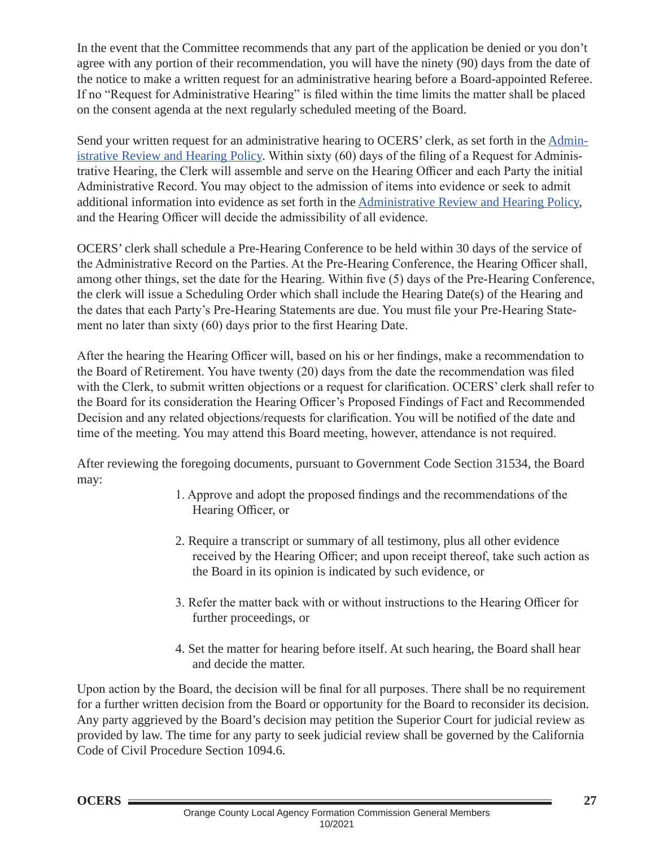In the event that the Committee recommends that any part of the application be denied or you don't agree with any portion of their recommendation, you will have the ninety (90) days from the date of the notice to make a written request for an administrative hearing before a Board-appointed Referee. If no "Request for Administrative Hearing" is filed within the time limits the matter shall be placed on the consent agenda at the next regularly scheduled meeting of the Board.

Send your written request for an administrative hearing to OCERS' clerk, as set forth in the [Admin](https://www.ocers.org/sites/main/files/file-attachments/administrative_review_and_hearing_policy_for_cases_filed_on_or_after_august_18_2020.pdf?1598398697)[istrative Review and Hearing Policy](https://www.ocers.org/sites/main/files/file-attachments/administrative_review_and_hearing_policy_for_cases_filed_on_or_after_august_18_2020.pdf?1598398697). Within sixty (60) days of the filing of a Request for Administrative Hearing, the Clerk will assemble and serve on the Hearing Officer and each Party the initial Administrative Record. You may object to the admission of items into evidence or seek to admit additional information into evidence as set forth in the [Administrative Review and Hearing Policy](https://www.ocers.org/sites/main/files/file-attachments/administrative_review_and_hearing_policy_for_cases_filed_on_or_after_august_18_2020.pdf?1598398697), and the Hearing Officer will decide the admissibility of all evidence.

OCERS' clerk shall schedule a Pre-Hearing Conference to be held within 30 days of the service of the Administrative Record on the Parties. At the Pre-Hearing Conference, the Hearing Officer shall, among other things, set the date for the Hearing. Within five (5) days of the Pre-Hearing Conference, the clerk will issue a Scheduling Order which shall include the Hearing Date(s) of the Hearing and the dates that each Party's Pre-Hearing Statements are due. You must file your Pre-Hearing Statement no later than sixty (60) days prior to the first Hearing Date.

After the hearing the Hearing Officer will, based on his or her findings, make a recommendation to the Board of Retirement. You have twenty (20) days from the date the recommendation was filed with the Clerk, to submit written objections or a request for clarification. OCERS' clerk shall refer to the Board for its consideration the Hearing Officer's Proposed Findings of Fact and Recommended Decision and any related objections/requests for clarification. You will be notified of the date and time of the meeting. You may attend this Board meeting, however, attendance is not required.

After reviewing the foregoing documents, pursuant to Government Code Section 31534, the Board may:

- 1. Approve and adopt the proposed findings and the recommendations of the Hearing Officer, or
- 2. Require a transcript or summary of all testimony, plus all other evidence received by the Hearing Officer; and upon receipt thereof, take such action as the Board in its opinion is indicated by such evidence, or
- 3. Refer the matter back with or without instructions to the Hearing Officer for further proceedings, or
- 4. Set the matter for hearing before itself. At such hearing, the Board shall hear and decide the matter.

Upon action by the Board, the decision will be final for all purposes. There shall be no requirement for a further written decision from the Board or opportunity for the Board to reconsider its decision. Any party aggrieved by the Board's decision may petition the Superior Court for judicial review as provided by law. The time for any party to seek judicial review shall be governed by the California Code of Civil Procedure Section 1094.6.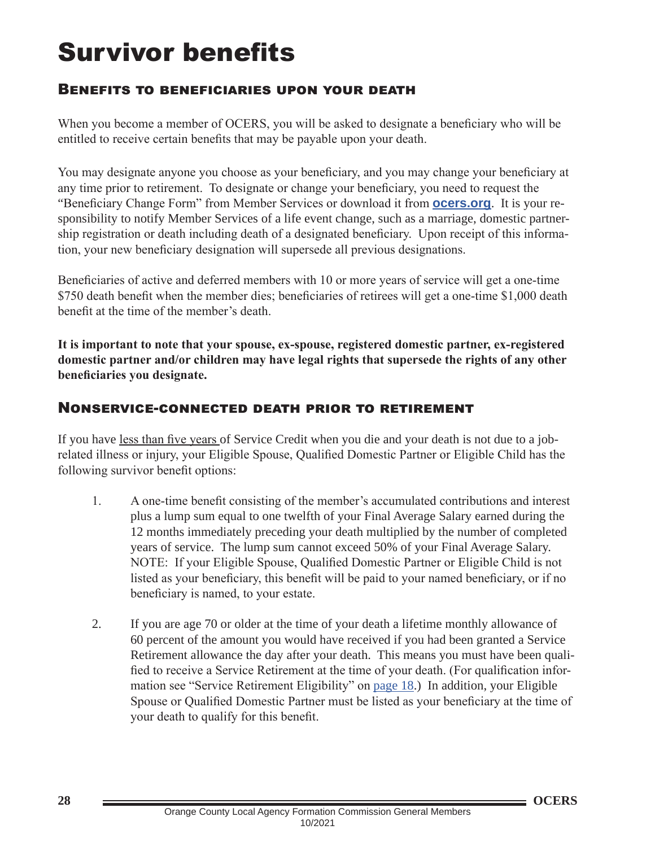## <span id="page-30-0"></span>Survivor benefits

#### Benefits to beneficiaries upon your death

When you become a member of OCERS, you will be asked to designate a beneficiary who will be entitled to receive certain benefits that may be payable upon your death.

You may designate anyone you choose as your beneficiary, and you may change your beneficiary at any time prior to retirement. To designate or change your beneficiary, you need to request the "Beneficiary Change Form" from Member Services or download it from **[ocers.org](https://www.ocers.org)**. It is your responsibility to notify Member Services of a life event change, such as a marriage, domestic partnership registration or death including death of a designated beneficiary. Upon receipt of this information, your new beneficiary designation will supersede all previous designations.

Beneficiaries of active and deferred members with 10 or more years of service will get a one-time \$750 death benefit when the member dies; beneficiaries of retirees will get a one-time \$1,000 death benefit at the time of the member's death.

**It is important to note that your spouse, ex-spouse, registered domestic partner, ex-registered domestic partner and/or children may have legal rights that supersede the rights of any other beneficiaries you designate.** 

#### Nonservice-connected death prior to retirement

If you have less than five years of Service Credit when you die and your death is not due to a jobrelated illness or injury, your Eligible Spouse, Qualified Domestic Partner or Eligible Child has the following survivor benefit options:

- 1. A one-time benefit consisting of the member's accumulated contributions and interest plus a lump sum equal to one twelfth of your Final Average Salary earned during the 12 months immediately preceding your death multiplied by the number of completed years of service. The lump sum cannot exceed 50% of your Final Average Salary. NOTE: If your Eligible Spouse, Qualified Domestic Partner or Eligible Child is not listed as your beneficiary, this benefit will be paid to your named beneficiary, or if no beneficiary is named, to your estate.
- 2. If you are age 70 or older at the time of your death a lifetime monthly allowance of 60 percent of the amount you would have received if you had been granted a Service Retirement allowance the day after your death. This means you must have been qualified to receive a Service Retirement at the time of your death. (For qualification information see "Service Retirement Eligibility" on [page 18.](#page-20-0)) In addition, your Eligible Spouse or Qualified Domestic Partner must be listed as your beneficiary at the time of your death to qualify for this benefit.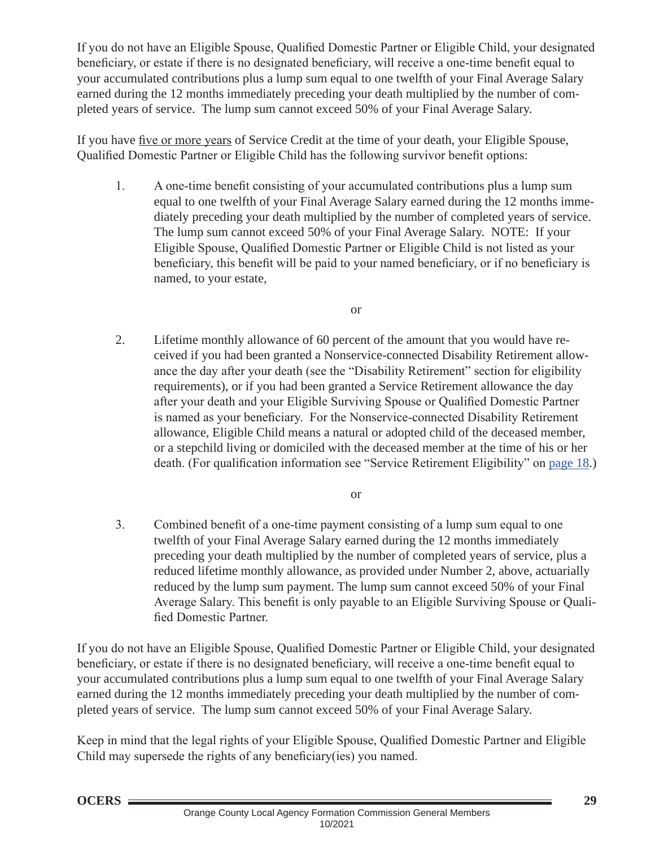If you do not have an Eligible Spouse, Qualified Domestic Partner or Eligible Child, your designated beneficiary, or estate if there is no designated beneficiary, will receive a one-time benefit equal to your accumulated contributions plus a lump sum equal to one twelfth of your Final Average Salary earned during the 12 months immediately preceding your death multiplied by the number of completed years of service. The lump sum cannot exceed 50% of your Final Average Salary.

If you have five or more years of Service Credit at the time of your death, your Eligible Spouse, Qualified Domestic Partner or Eligible Child has the following survivor benefit options:

1. A one-time benefit consisting of your accumulated contributions plus a lump sum equal to one twelfth of your Final Average Salary earned during the 12 months immediately preceding your death multiplied by the number of completed years of service. The lump sum cannot exceed 50% of your Final Average Salary. NOTE: If your Eligible Spouse, Qualified Domestic Partner or Eligible Child is not listed as your beneficiary, this benefit will be paid to your named beneficiary, or if no beneficiary is named, to your estate,

or

2. Lifetime monthly allowance of 60 percent of the amount that you would have received if you had been granted a Nonservice-connected Disability Retirement allowance the day after your death (see the "Disability Retirement" section for eligibility requirements), or if you had been granted a Service Retirement allowance the day after your death and your Eligible Surviving Spouse or Qualified Domestic Partner is named as your beneficiary. For the Nonservice-connected Disability Retirement allowance, Eligible Child means a natural or adopted child of the deceased member, or a stepchild living or domiciled with the deceased member at the time of his or her death. (For qualification information see "Service Retirement Eligibility" on [page 18.](#page-20-0))

or

3. Combined benefit of a one-time payment consisting of a lump sum equal to one twelfth of your Final Average Salary earned during the 12 months immediately preceding your death multiplied by the number of completed years of service, plus a reduced lifetime monthly allowance, as provided under Number 2, above, actuarially reduced by the lump sum payment. The lump sum cannot exceed 50% of your Final Average Salary. This benefit is only payable to an Eligible Surviving Spouse or Qualified Domestic Partner.

If you do not have an Eligible Spouse, Qualified Domestic Partner or Eligible Child, your designated beneficiary, or estate if there is no designated beneficiary, will receive a one-time benefit equal to your accumulated contributions plus a lump sum equal to one twelfth of your Final Average Salary earned during the 12 months immediately preceding your death multiplied by the number of completed years of service. The lump sum cannot exceed 50% of your Final Average Salary.

Keep in mind that the legal rights of your Eligible Spouse, Qualified Domestic Partner and Eligible Child may supersede the rights of any beneficiary(ies) you named.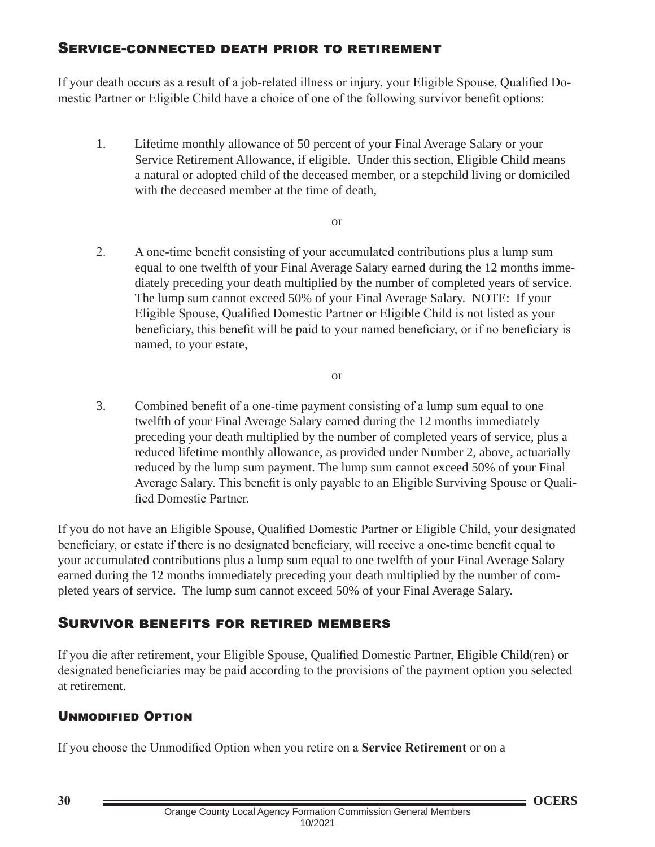#### Service-connected death prior to retirement

If your death occurs as a result of a job-related illness or injury, your Eligible Spouse, Qualified Domestic Partner or Eligible Child have a choice of one of the following survivor benefit options:

1. Lifetime monthly allowance of 50 percent of your Final Average Salary or your Service Retirement Allowance, if eligible. Under this section, Eligible Child means a natural or adopted child of the deceased member, or a stepchild living or domiciled with the deceased member at the time of death,

or

2. A one-time benefit consisting of your accumulated contributions plus a lump sum equal to one twelfth of your Final Average Salary earned during the 12 months immediately preceding your death multiplied by the number of completed years of service. The lump sum cannot exceed 50% of your Final Average Salary. NOTE: If your Eligible Spouse, Qualified Domestic Partner or Eligible Child is not listed as your beneficiary, this benefit will be paid to your named beneficiary, or if no beneficiary is named, to your estate,

or

3. Combined benefit of a one-time payment consisting of a lump sum equal to one twelfth of your Final Average Salary earned during the 12 months immediately preceding your death multiplied by the number of completed years of service, plus a reduced lifetime monthly allowance, as provided under Number 2, above, actuarially reduced by the lump sum payment. The lump sum cannot exceed 50% of your Final Average Salary. This benefit is only payable to an Eligible Surviving Spouse or Qualified Domestic Partner.

If you do not have an Eligible Spouse, Qualified Domestic Partner or Eligible Child, your designated beneficiary, or estate if there is no designated beneficiary, will receive a one-time benefit equal to your accumulated contributions plus a lump sum equal to one twelfth of your Final Average Salary earned during the 12 months immediately preceding your death multiplied by the number of completed years of service. The lump sum cannot exceed 50% of your Final Average Salary.

## Survivor benefits for retired members

If you die after retirement, your Eligible Spouse, Qualified Domestic Partner, Eligible Child(ren) or designated beneficiaries may be paid according to the provisions of the payment option you selected at retirement.

## Unmodified Option

If you choose the Unmodified Option when you retire on a **Service Retirement** or on a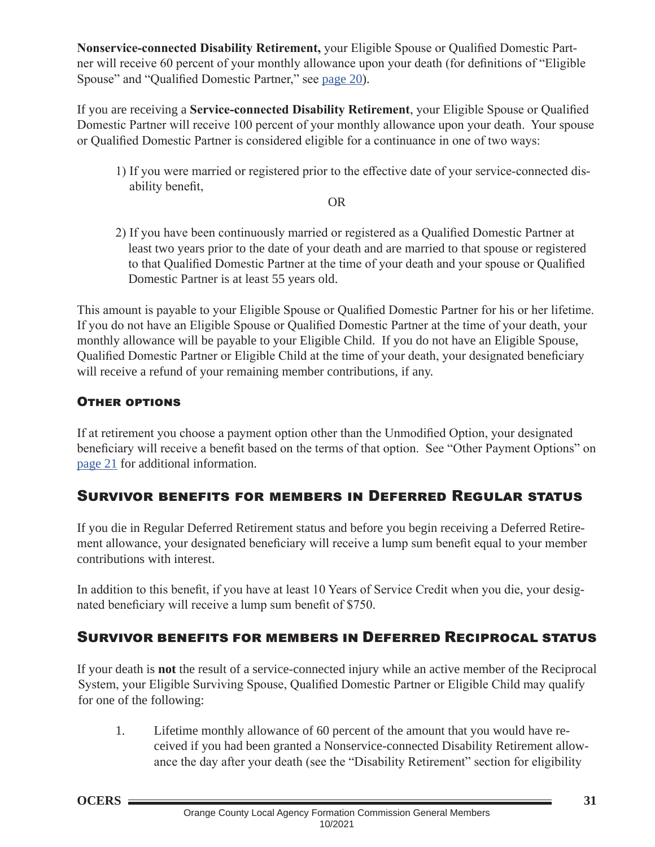**Nonservice-connected Disability Retirement,** your Eligible Spouse or Qualified Domestic Partner will receive 60 percent of your monthly allowance upon your death (for definitions of "Eligible Spouse" and "Qualified Domestic Partner," see [page 20](#page-22-0)).

If you are receiving a **Service-connected Disability Retirement**, your Eligible Spouse or Qualified Domestic Partner will receive 100 percent of your monthly allowance upon your death. Your spouse or Qualified Domestic Partner is considered eligible for a continuance in one of two ways:

1) If you were married or registered prior to the effective date of your service-connected disability benefit,

OR

2) If you have been continuously married or registered as a Qualified Domestic Partner at least two years prior to the date of your death and are married to that spouse or registered to that Qualified Domestic Partner at the time of your death and your spouse or Qualified Domestic Partner is at least 55 years old.

This amount is payable to your Eligible Spouse or Qualified Domestic Partner for his or her lifetime. If you do not have an Eligible Spouse or Qualified Domestic Partner at the time of your death, your monthly allowance will be payable to your Eligible Child. If you do not have an Eligible Spouse, Qualified Domestic Partner or Eligible Child at the time of your death, your designated beneficiary will receive a refund of your remaining member contributions, if any.

#### **OTHER OPTIONS**

If at retirement you choose a payment option other than the Unmodified Option, your designated beneficiary will receive a benefit based on the terms of that option. See "Other Payment Options" on [page 21](#page-23-0) for additional information.

## Survivor benefits for members in Deferred Regular status

If you die in Regular Deferred Retirement status and before you begin receiving a Deferred Retirement allowance, your designated beneficiary will receive a lump sum benefit equal to your member contributions with interest.

In addition to this benefit, if you have at least 10 Years of Service Credit when you die, your designated beneficiary will receive a lump sum benefit of \$750.

## Survivor benefits for members in Deferred Reciprocal status

If your death is **not** the result of a service-connected injury while an active member of the Reciprocal System, your Eligible Surviving Spouse, Qualified Domestic Partner or Eligible Child may qualify for one of the following:

1. Lifetime monthly allowance of 60 percent of the amount that you would have received if you had been granted a Nonservice-connected Disability Retirement allowance the day after your death (see the "Disability Retirement" section for eligibility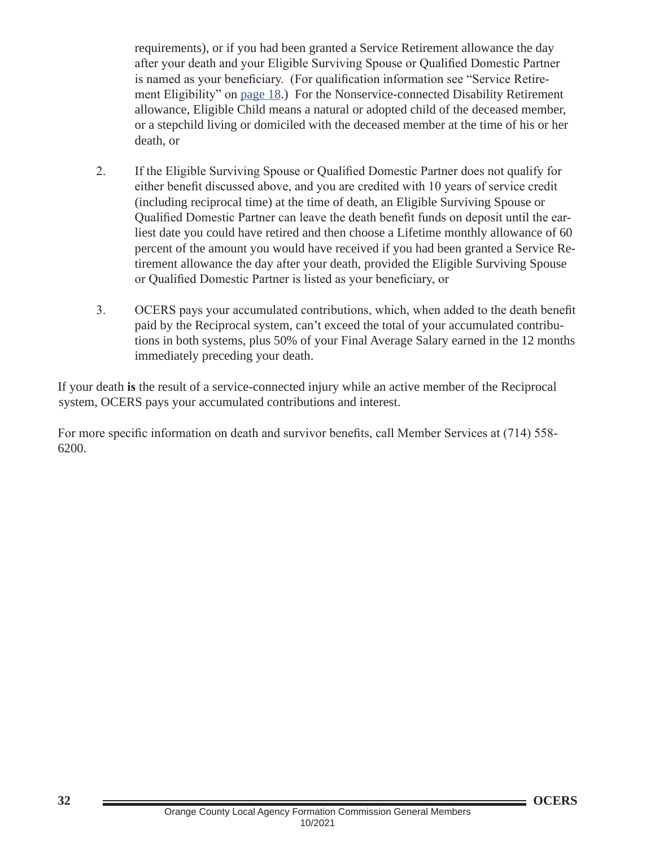requirements), or if you had been granted a Service Retirement allowance the day after your death and your Eligible Surviving Spouse or Qualified Domestic Partner is named as your beneficiary. (For qualification information see "Service Retirement Eligibility" on [page 18](#page-20-0).) For the Nonservice-connected Disability Retirement allowance, Eligible Child means a natural or adopted child of the deceased member, or a stepchild living or domiciled with the deceased member at the time of his or her death, or

- 2. If the Eligible Surviving Spouse or Qualified Domestic Partner does not qualify for either benefit discussed above, and you are credited with 10 years of service credit (including reciprocal time) at the time of death, an Eligible Surviving Spouse or Qualified Domestic Partner can leave the death benefit funds on deposit until the earliest date you could have retired and then choose a Lifetime monthly allowance of 60 percent of the amount you would have received if you had been granted a Service Retirement allowance the day after your death, provided the Eligible Surviving Spouse or Qualified Domestic Partner is listed as your beneficiary, or
- 3. OCERS pays your accumulated contributions, which, when added to the death benefit paid by the Reciprocal system, can't exceed the total of your accumulated contributions in both systems, plus 50% of your Final Average Salary earned in the 12 months immediately preceding your death.

If your death **is** the result of a service-connected injury while an active member of the Reciprocal system, OCERS pays your accumulated contributions and interest.

For more specific information on death and survivor benefits, call Member Services at (714) 558- 6200.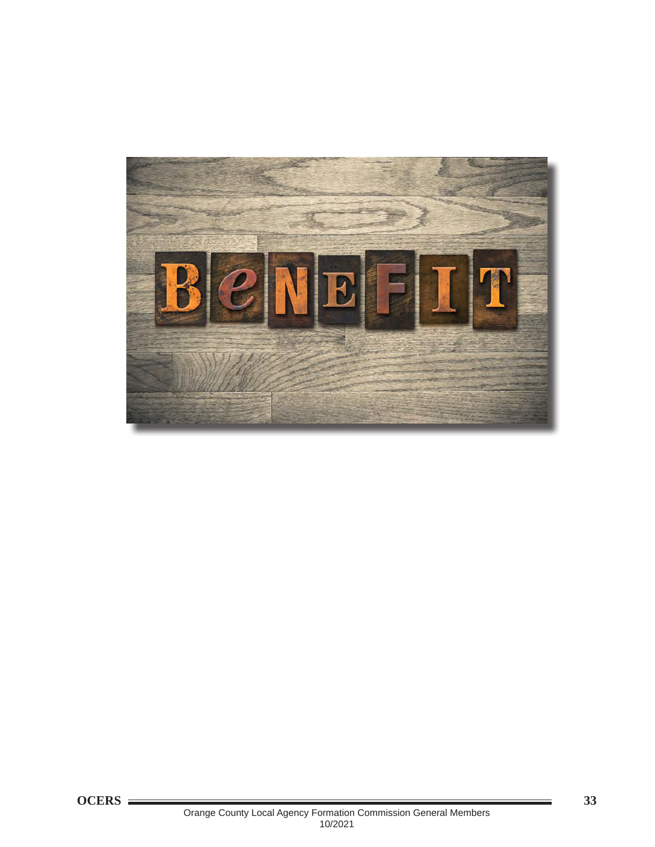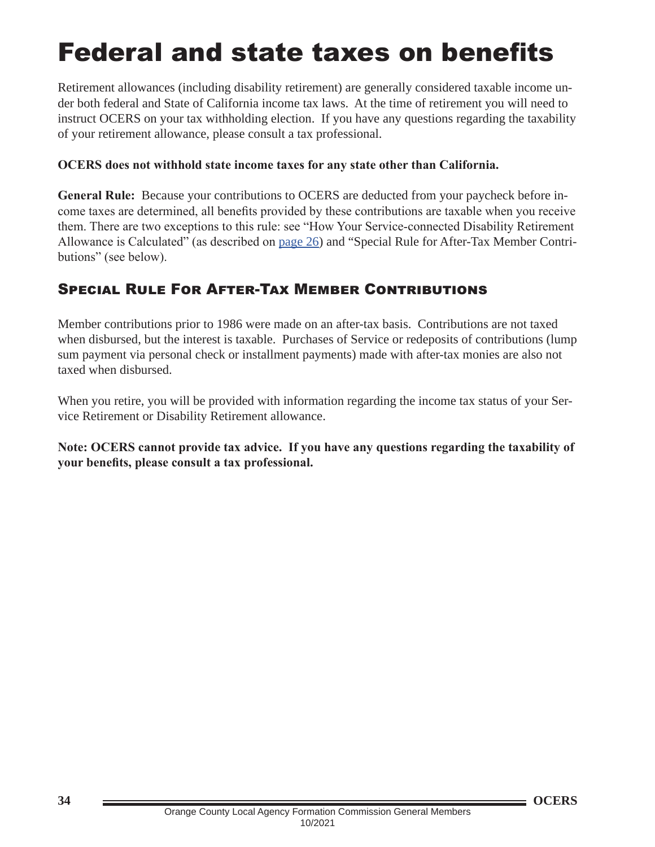## Federal and state taxes on benefits

Retirement allowances (including disability retirement) are generally considered taxable income under both federal and State of California income tax laws. At the time of retirement you will need to instruct OCERS on your tax withholding election. If you have any questions regarding the taxability of your retirement allowance, please consult a tax professional.

#### **OCERS does not withhold state income taxes for any state other than California.**

**General Rule:** Because your contributions to OCERS are deducted from your paycheck before income taxes are determined, all benefits provided by these contributions are taxable when you receive them. There are two exceptions to this rule: see "How Your Service-connected Disability Retirement Allowance is Calculated" (as described on [page 2](#page-28-0)6) and "Special Rule for After-Tax Member Contributions" (see below).

#### Special Rule For After-Tax Member Contributions

Member contributions prior to 1986 were made on an after-tax basis. Contributions are not taxed when disbursed, but the interest is taxable. Purchases of Service or redeposits of contributions (lump sum payment via personal check or installment payments) made with after-tax monies are also not taxed when disbursed.

When you retire, you will be provided with information regarding the income tax status of your Service Retirement or Disability Retirement allowance.

**Note: OCERS cannot provide tax advice. If you have any questions regarding the taxability of your benefits, please consult a tax professional.**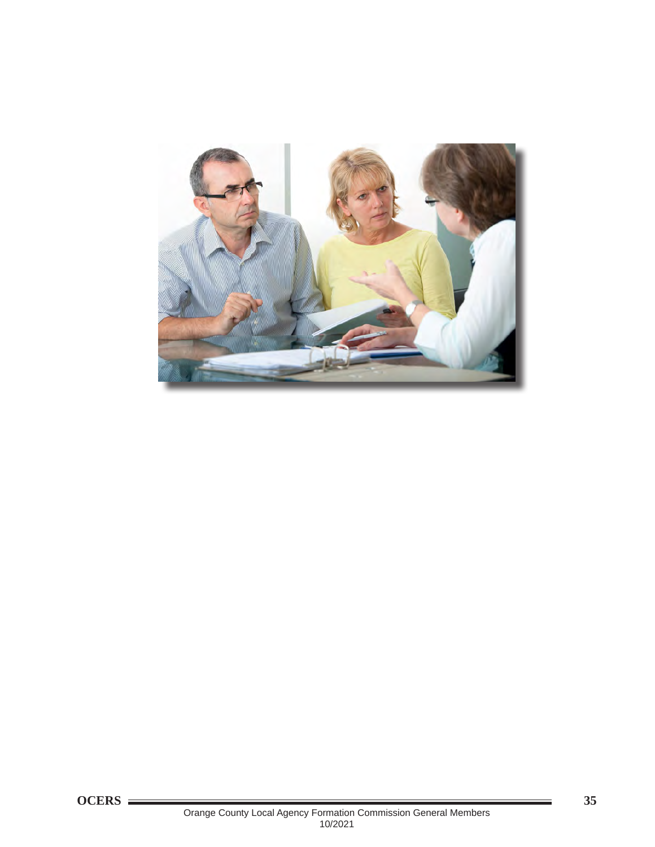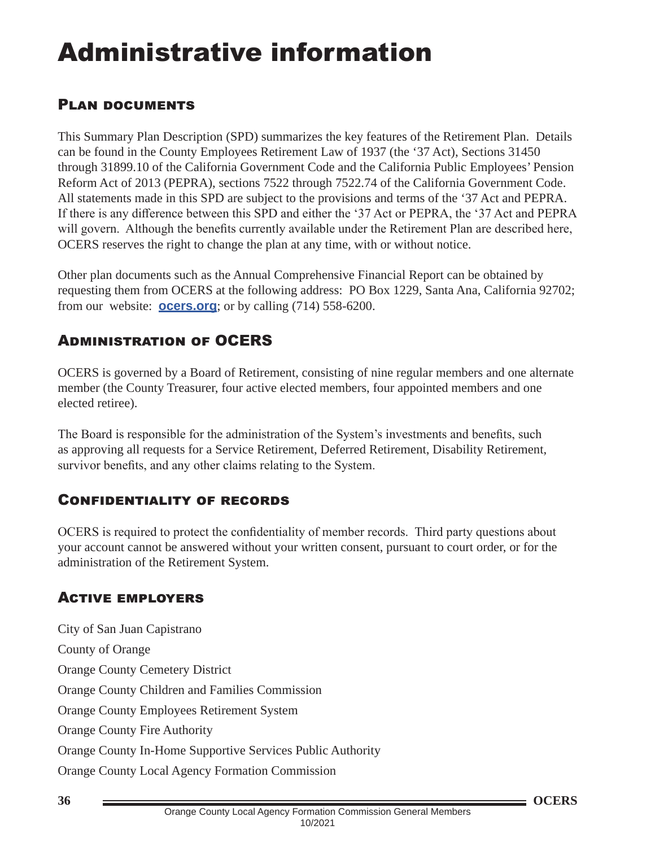## Administrative information

## Plan documents

This Summary Plan Description (SPD) summarizes the key features of the Retirement Plan. Details can be found in the County Employees Retirement Law of 1937 (the '37 Act), Sections 31450 through 31899.10 of the California Government Code and the California Public Employees' Pension Reform Act of 2013 (PEPRA), sections 7522 through 7522.74 of the California Government Code. All statements made in this SPD are subject to the provisions and terms of the '37 Act and PEPRA. If there is any difference between this SPD and either the '37 Act or PEPRA, the '37 Act and PEPRA will govern. Although the benefits currently available under the Retirement Plan are described here, OCERS reserves the right to change the plan at any time, with or without notice.

Other plan documents such as the Annual Comprehensive Financial Report can be obtained by requesting them from OCERS at the following address: PO Box 1229, Santa Ana, California 92702; from our website: **[ocers.org](https://www.ocers.org)**; or by calling (714) 558-6200.

## Administration of OCERS

OCERS is governed by a Board of Retirement, consisting of nine regular members and one alternate member (the County Treasurer, four active elected members, four appointed members and one elected retiree).

The Board is responsible for the administration of the System's investments and benefits, such as approving all requests for a Service Retirement, Deferred Retirement, Disability Retirement, survivor benefits, and any other claims relating to the System.

#### Confidentiality of records

OCERS is required to protect the confidentiality of member records. Third party questions about your account cannot be answered without your written consent, pursuant to court order, or for the administration of the Retirement System.

## Active employers

City of San Juan Capistrano County of Orange Orange County Cemetery District Orange County Children and Families Commission Orange County Employees Retirement System Orange County Fire Authority Orange County In-Home Supportive Services Public Authority Orange County Local Agency Formation Commission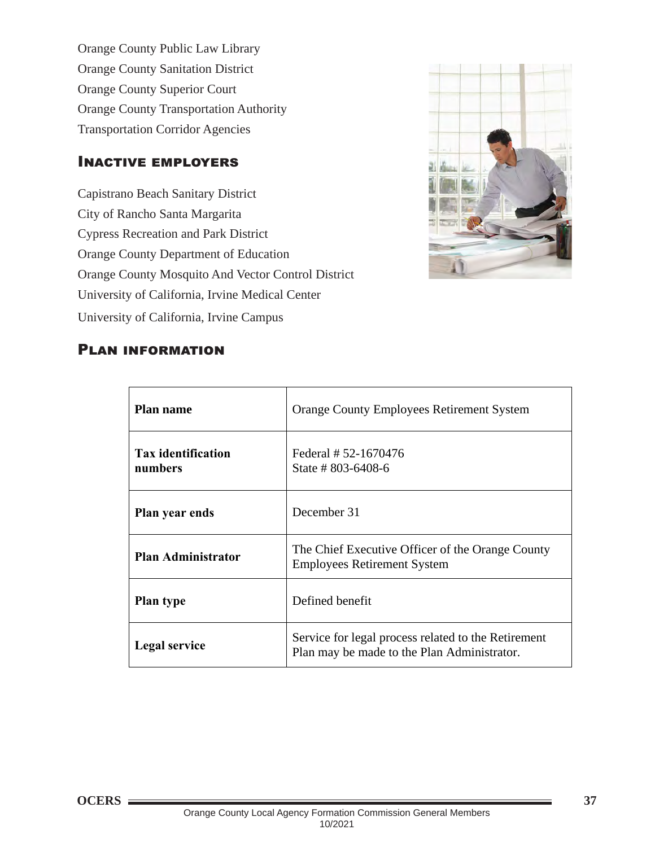Orange County Public Law Library Orange County Sanitation District Orange County Superior Court Orange County Transportation Authority Transportation Corridor Agencies

#### Inactive employers

Capistrano Beach Sanitary District City of Rancho Santa Margarita Cypress Recreation and Park District Orange County Department of Education Orange County Mosquito And Vector Control District University of California, Irvine Medical Center University of California, Irvine Campus



#### Plan information

| <b>Plan name</b>                     | <b>Orange County Employees Retirement System</b>                                                   |  |
|--------------------------------------|----------------------------------------------------------------------------------------------------|--|
| <b>Tax identification</b><br>numbers | Federal # 52-1670476<br>State # 803-6408-6                                                         |  |
| <b>Plan year ends</b>                | December 31                                                                                        |  |
| <b>Plan Administrator</b>            | The Chief Executive Officer of the Orange County<br><b>Employees Retirement System</b>             |  |
| <b>Plan type</b>                     | Defined benefit                                                                                    |  |
| Legal service                        | Service for legal process related to the Retirement<br>Plan may be made to the Plan Administrator. |  |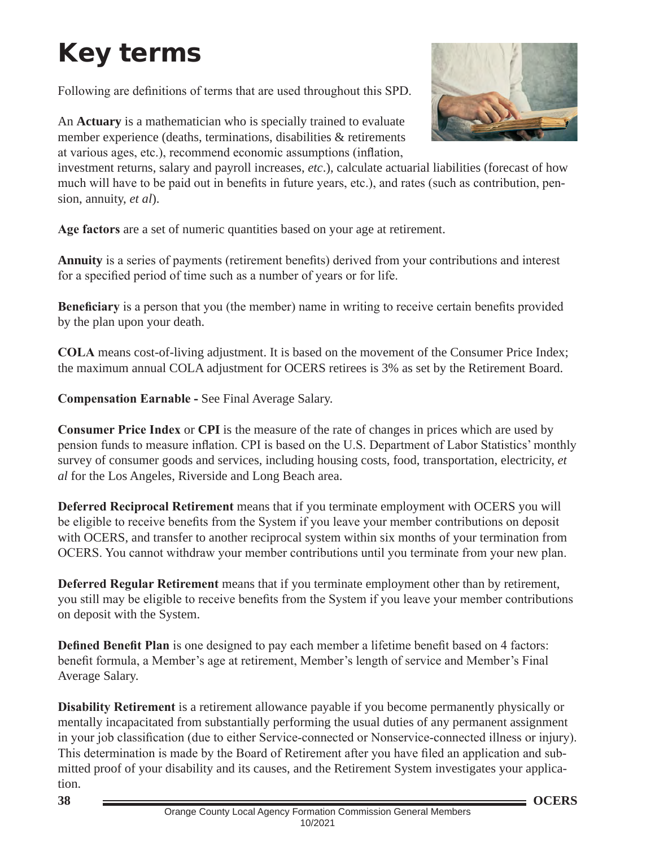## <span id="page-40-0"></span>Key terms

Following are definitions of terms that are used throughout this SPD.

An **Actuary** is a mathematician who is specially trained to evaluate member experience (deaths, terminations, disabilities & retirements at various ages, etc.), recommend economic assumptions (inflation,



investment returns, salary and payroll increases, *etc*.), calculate actuarial liabilities (forecast of how much will have to be paid out in benefits in future years, etc.), and rates (such as contribution, pension, annuity, *et al*).

**Age factors** are a set of numeric quantities based on your age at retirement.

**Annuity** is a series of payments (retirement benefits) derived from your contributions and interest for a specified period of time such as a number of years or for life.

**Beneficiary** is a person that you (the member) name in writing to receive certain benefits provided by the plan upon your death.

**COLA** means cost-of-living adjustment. It is based on the movement of the Consumer Price Index; the maximum annual COLA adjustment for OCERS retirees is 3% as set by the Retirement Board.

**Compensation Earnable -** See Final Average Salary.

**Consumer Price Index** or **CPI** is the measure of the rate of changes in prices which are used by pension funds to measure inflation. CPI is based on the U.S. Department of Labor Statistics' monthly survey of consumer goods and services, including housing costs, food, transportation, electricity, *et al* for the Los Angeles, Riverside and Long Beach area.

**Deferred Reciprocal Retirement** means that if you terminate employment with OCERS you will be eligible to receive benefits from the System if you leave your member contributions on deposit with OCERS, and transfer to another reciprocal system within six months of your termination from OCERS. You cannot withdraw your member contributions until you terminate from your new plan.

**Deferred Regular Retirement** means that if you terminate employment other than by retirement, you still may be eligible to receive benefits from the System if you leave your member contributions on deposit with the System.

**Defined Benefit Plan** is one designed to pay each member a lifetime benefit based on 4 factors: benefit formula, a Member's age at retirement, Member's length of service and Member's Final Average Salary.

**Disability Retirement** is a retirement allowance payable if you become permanently physically or mentally incapacitated from substantially performing the usual duties of any permanent assignment in your job classification (due to either Service-connected or Nonservice-connected illness or injury). This determination is made by the Board of Retirement after you have filed an application and submitted proof of your disability and its causes, and the Retirement System investigates your application.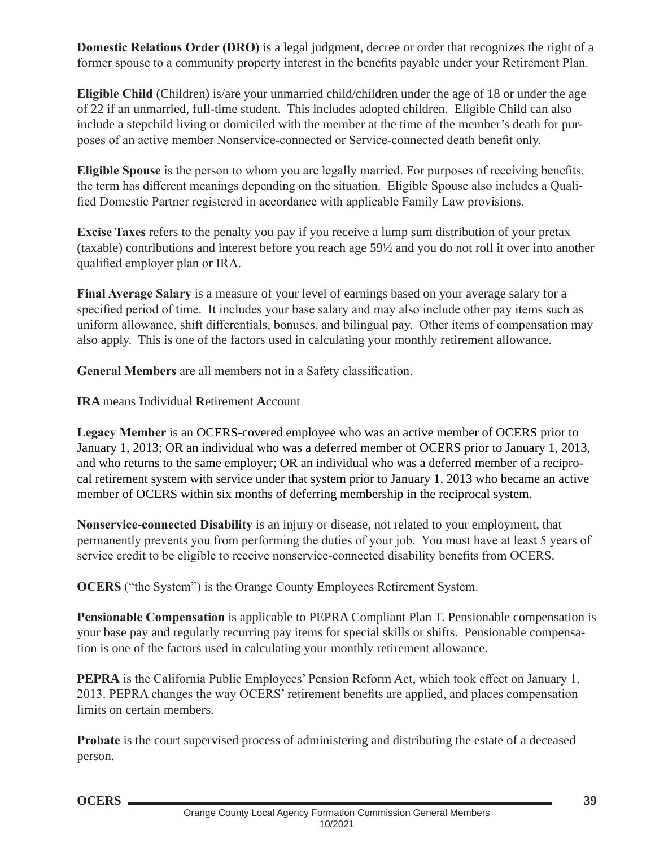<span id="page-41-0"></span>**Domestic Relations Order (DRO)** is a legal judgment, decree or order that recognizes the right of a former spouse to a community property interest in the benefits payable under your Retirement Plan.

**Eligible Child** (Children) is/are your unmarried child/children under the age of 18 or under the age of 22 if an unmarried, full-time student. This includes adopted children. Eligible Child can also include a stepchild living or domiciled with the member at the time of the member's death for purposes of an active member Nonservice-connected or Service-connected death benefit only.

**Eligible Spouse** is the person to whom you are legally married. For purposes of receiving benefits, the term has different meanings depending on the situation. Eligible Spouse also includes a Qualified Domestic Partner registered in accordance with applicable Family Law provisions.

**Excise Taxes** refers to the penalty you pay if you receive a lump sum distribution of your pretax (taxable) contributions and interest before you reach age 59½ and you do not roll it over into another qualified employer plan or IRA.

**Final Average Salary** is a measure of your level of earnings based on your average salary for a specified period of time. It includes your base salary and may also include other pay items such as uniform allowance, shift differentials, bonuses, and bilingual pay. Other items of compensation may also apply. This is one of the factors used in calculating your monthly retirement allowance.

**General Members** are all members not in a Safety classification.

**IRA** means **I**ndividual **R**etirement **A**ccount

**Legacy Member** is an OCERS-covered employee who was an active member of OCERS prior to January 1, 2013; OR an individual who was a deferred member of OCERS prior to January 1, 2013, and who returns to the same employer; OR an individual who was a deferred member of a reciprocal retirement system with service under that system prior to January 1, 2013 who became an active member of OCERS within six months of deferring membership in the reciprocal system.

**Nonservice-connected Disability** is an injury or disease, not related to your employment, that permanently prevents you from performing the duties of your job. You must have at least 5 years of service credit to be eligible to receive nonservice-connected disability benefits from OCERS.

**OCERS** ("the System") is the Orange County Employees Retirement System.

**Pensionable Compensation** is applicable to PEPRA Compliant Plan T. Pensionable compensation is your base pay and regularly recurring pay items for special skills or shifts. Pensionable compensation is one of the factors used in calculating your monthly retirement allowance.

**PEPRA** is the California Public Employees' Pension Reform Act, which took effect on January 1, 2013. PEPRA changes the way OCERS' retirement benefits are applied, and places compensation limits on certain members.

**Probate** is the court supervised process of administering and distributing the estate of a deceased person.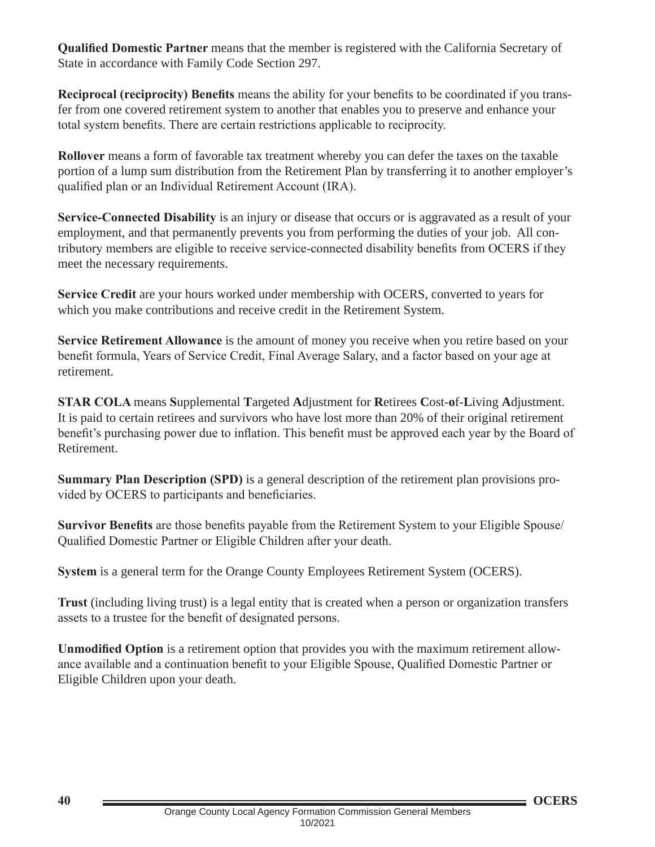**Qualified Domestic Partner** means that the member is registered with the California Secretary of State in accordance with Family Code Section 297.

**Reciprocal (reciprocity) Benefits** means the ability for your benefits to be coordinated if you transfer from one covered retirement system to another that enables you to preserve and enhance your total system benefits. There are certain restrictions applicable to reciprocity.

**Rollover** means a form of favorable tax treatment whereby you can defer the taxes on the taxable portion of a lump sum distribution from the Retirement Plan by transferring it to another employer's qualified plan or an Individual Retirement Account (IRA).

**Service-Connected Disability** is an injury or disease that occurs or is aggravated as a result of your employment, and that permanently prevents you from performing the duties of your job. All contributory members are eligible to receive service-connected disability benefits from OCERS if they meet the necessary requirements.

**Service Credit** are your hours worked under membership with OCERS, converted to years for which you make contributions and receive credit in the Retirement System.

**Service Retirement Allowance** is the amount of money you receive when you retire based on your benefit formula, Years of Service Credit, Final Average Salary, and a factor based on your age at retirement.

**STAR COLA** means **S**upplemental **T**argeted **A**djustment for **R**etirees **C**ost-**o**f-**L**iving **A**djustment. It is paid to certain retirees and survivors who have lost more than 20% of their original retirement benefit's purchasing power due to inflation. This benefit must be approved each year by the Board of Retirement.

**Summary Plan Description (SPD)** is a general description of the retirement plan provisions provided by OCERS to participants and beneficiaries.

**Survivor Benefits** are those benefits payable from the Retirement System to your Eligible Spouse/ Qualified Domestic Partner or Eligible Children after your death.

**System** is a general term for the Orange County Employees Retirement System (OCERS).

**Trust** (including living trust) is a legal entity that is created when a person or organization transfers assets to a trustee for the benefit of designated persons.

**Unmodified Option** is a retirement option that provides you with the maximum retirement allowance available and a continuation benefit to your Eligible Spouse, Qualified Domestic Partner or Eligible Children upon your death.